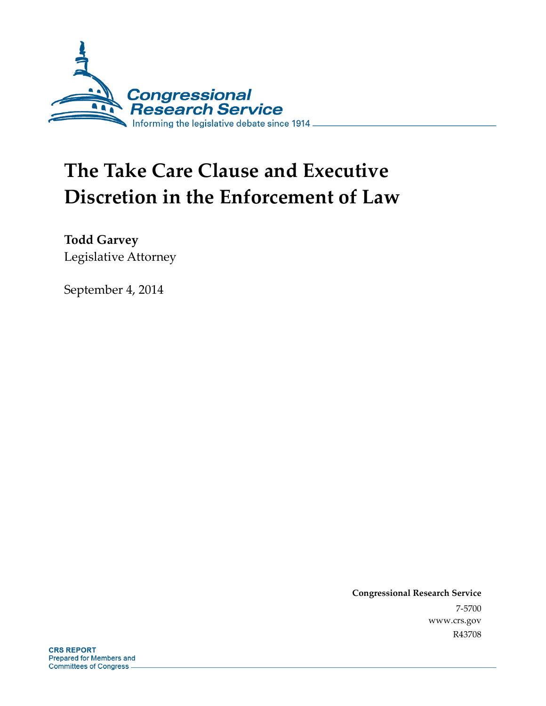

# **The Take Care Clause and Executive Discretion in the Enforcement of Law**

**Todd Garvey**  Legislative Attorney

September 4, 2014

**Congressional Research Service**  7-5700 www.crs.gov R43708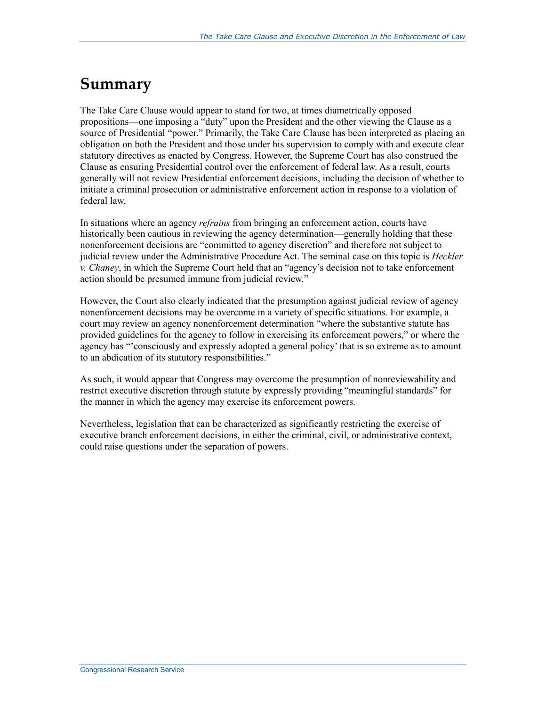### **Summary**

The Take Care Clause would appear to stand for two, at times diametrically opposed propositions—one imposing a "duty" upon the President and the other viewing the Clause as a source of Presidential "power." Primarily, the Take Care Clause has been interpreted as placing an obligation on both the President and those under his supervision to comply with and execute clear statutory directives as enacted by Congress. However, the Supreme Court has also construed the Clause as ensuring Presidential control over the enforcement of federal law. As a result, courts generally will not review Presidential enforcement decisions, including the decision of whether to initiate a criminal prosecution or administrative enforcement action in response to a violation of federal law.

In situations where an agency *refrains* from bringing an enforcement action, courts have historically been cautious in reviewing the agency determination—generally holding that these nonenforcement decisions are "committed to agency discretion" and therefore not subject to judicial review under the Administrative Procedure Act. The seminal case on this topic is *Heckler v. Chaney*, in which the Supreme Court held that an "agency's decision not to take enforcement action should be presumed immune from judicial review."

However, the Court also clearly indicated that the presumption against judicial review of agency nonenforcement decisions may be overcome in a variety of specific situations. For example, a court may review an agency nonenforcement determination "where the substantive statute has provided guidelines for the agency to follow in exercising its enforcement powers," or where the agency has "'consciously and expressly adopted a general policy' that is so extreme as to amount to an abdication of its statutory responsibilities."

As such, it would appear that Congress may overcome the presumption of nonreviewability and restrict executive discretion through statute by expressly providing "meaningful standards" for the manner in which the agency may exercise its enforcement powers.

Nevertheless, legislation that can be characterized as significantly restricting the exercise of executive branch enforcement decisions, in either the criminal, civil, or administrative context, could raise questions under the separation of powers.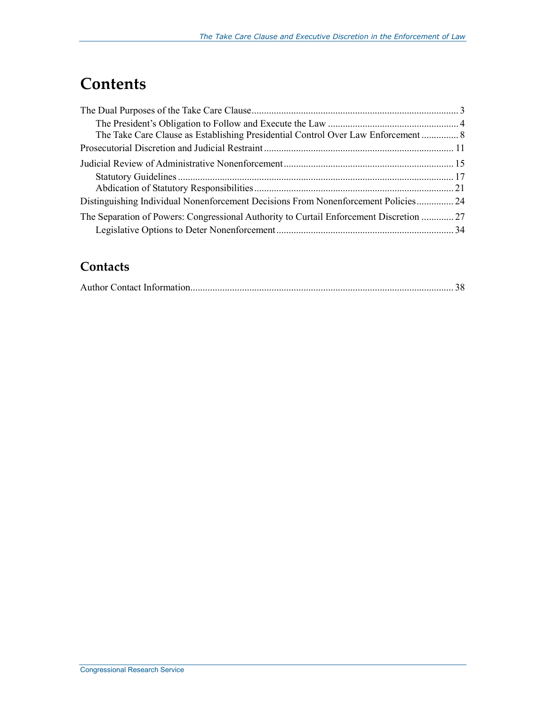## **Contents**

| The Take Care Clause as Establishing Presidential Control Over Law Enforcement 8       |
|----------------------------------------------------------------------------------------|
|                                                                                        |
|                                                                                        |
|                                                                                        |
|                                                                                        |
| Distinguishing Individual Nonenforcement Decisions From Nonenforcement Policies 24     |
| The Separation of Powers: Congressional Authority to Curtail Enforcement Discretion 27 |
|                                                                                        |
|                                                                                        |

### **Contacts**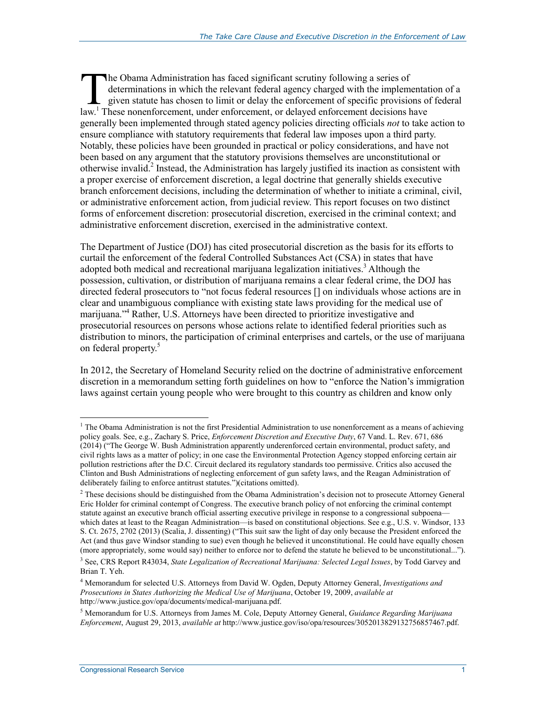he Obama Administration has faced significant scrutiny following a series of determinations in which the relevant federal agency charged with the implementation of a given statute has chosen to limit or delay the enforcement of specific provisions of federal The Obama Administration has faced significant scrutiny following a series of determinations in which the relevant federal agency charged with the implementat given statute has chosen to limit or delay the enforcement of s generally been implemented through stated agency policies directing officials *not* to take action to ensure compliance with statutory requirements that federal law imposes upon a third party. Notably, these policies have been grounded in practical or policy considerations, and have not been based on any argument that the statutory provisions themselves are unconstitutional or otherwise invalid.<sup>2</sup> Instead, the Administration has largely justified its inaction as consistent with a proper exercise of enforcement discretion, a legal doctrine that generally shields executive branch enforcement decisions, including the determination of whether to initiate a criminal, civil, or administrative enforcement action, from judicial review. This report focuses on two distinct forms of enforcement discretion: prosecutorial discretion, exercised in the criminal context; and administrative enforcement discretion, exercised in the administrative context.

The Department of Justice (DOJ) has cited prosecutorial discretion as the basis for its efforts to curtail the enforcement of the federal Controlled Substances Act (CSA) in states that have adopted both medical and recreational marijuana legalization initiatives.<sup>3</sup> Although the possession, cultivation, or distribution of marijuana remains a clear federal crime, the DOJ has directed federal prosecutors to "not focus federal resources [] on individuals whose actions are in clear and unambiguous compliance with existing state laws providing for the medical use of marijuana."4 Rather, U.S. Attorneys have been directed to prioritize investigative and prosecutorial resources on persons whose actions relate to identified federal priorities such as distribution to minors, the participation of criminal enterprises and cartels, or the use of marijuana on federal property.<sup>5</sup>

In 2012, the Secretary of Homeland Security relied on the doctrine of administrative enforcement discretion in a memorandum setting forth guidelines on how to "enforce the Nation's immigration laws against certain young people who were brought to this country as children and know only

The Obama Administration is not the first Presidential Administration to use nonenforcement as a means of achieving policy goals. See, e.g., Zachary S. Price, *Enforcement Discretion and Executive Duty*, 67 Vand. L. Rev. 671, 686 (2014) ("The George W. Bush Administration apparently underenforced certain environmental, product safety, and civil rights laws as a matter of policy; in one case the Environmental Protection Agency stopped enforcing certain air pollution restrictions after the D.C. Circuit declared its regulatory standards too permissive. Critics also accused the Clinton and Bush Administrations of neglecting enforcement of gun safety laws, and the Reagan Administration of deliberately failing to enforce antitrust statutes.")(citations omitted).

 $<sup>2</sup>$  These decisions should be distinguished from the Obama Administration's decision not to prosecute Attorney General</sup> Eric Holder for criminal contempt of Congress. The executive branch policy of not enforcing the criminal contempt statute against an executive branch official asserting executive privilege in response to a congressional subpoena which dates at least to the Reagan Administration—is based on constitutional objections. See e.g., U.S. v. Windsor, 133 S. Ct. 2675, 2702 (2013) (Scalia, J. dissenting) ("This suit saw the light of day only because the President enforced the Act (and thus gave Windsor standing to sue) even though he believed it unconstitutional. He could have equally chosen (more appropriately, some would say) neither to enforce nor to defend the statute he believed to be unconstitutional...").

<sup>3</sup> See, CRS Report R43034, *State Legalization of Recreational Marijuana: Selected Legal Issues*, by Todd Garvey and Brian T. Yeh.

<sup>4</sup> Memorandum for selected U.S. Attorneys from David W. Ogden, Deputy Attorney General, *Investigations and Prosecutions in States Authorizing the Medical Use of Marijuana*, October 19, 2009, *available at* http://www.justice.gov/opa/documents/medical-marijuana.pdf.

<sup>5</sup> Memorandum for U.S. Attorneys from James M. Cole, Deputy Attorney General, *Guidance Regarding Marijuana Enforcement*, August 29, 2013, *available at* http://www.justice.gov/iso/opa/resources/3052013829132756857467.pdf.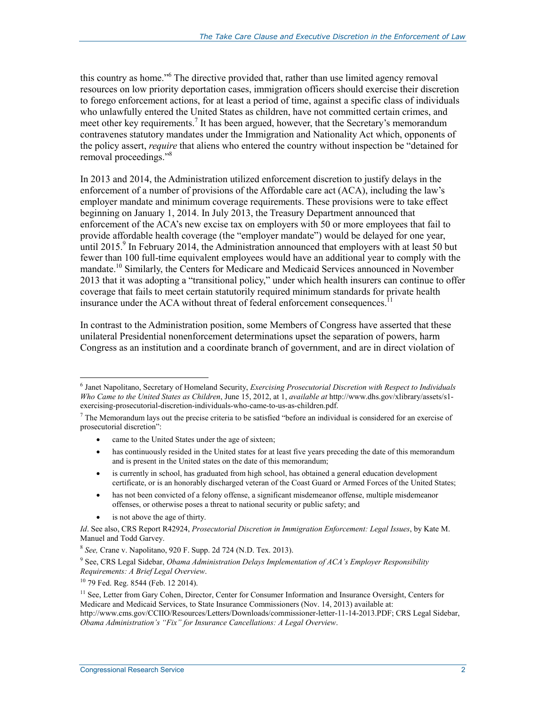this country as home."<sup>6</sup> The directive provided that, rather than use limited agency removal resources on low priority deportation cases, immigration officers should exercise their discretion to forego enforcement actions, for at least a period of time, against a specific class of individuals who unlawfully entered the United States as children, have not committed certain crimes, and meet other key requirements.<sup>7</sup> It has been argued, however, that the Secretary's memorandum contravenes statutory mandates under the Immigration and Nationality Act which, opponents of the policy assert, *require* that aliens who entered the country without inspection be "detained for removal proceedings."<sup>8</sup>

In 2013 and 2014, the Administration utilized enforcement discretion to justify delays in the enforcement of a number of provisions of the Affordable care act (ACA), including the law's employer mandate and minimum coverage requirements. These provisions were to take effect beginning on January 1, 2014. In July 2013, the Treasury Department announced that enforcement of the ACA's new excise tax on employers with 50 or more employees that fail to provide affordable health coverage (the "employer mandate") would be delayed for one year, until 2015.<sup>9</sup> In February 2014, the Administration announced that employers with at least 50 but fewer than 100 full-time equivalent employees would have an additional year to comply with the mandate.<sup>10</sup> Similarly, the Centers for Medicare and Medicaid Services announced in November 2013 that it was adopting a "transitional policy," under which health insurers can continue to offer coverage that fails to meet certain statutorily required minimum standards for private health insurance under the ACA without threat of federal enforcement consequences.<sup>11</sup>

In contrast to the Administration position, some Members of Congress have asserted that these unilateral Presidential nonenforcement determinations upset the separation of powers, harm Congress as an institution and a coordinate branch of government, and are in direct violation of

- came to the United States under the age of sixteen;
- has continuously resided in the United states for at least five years preceding the date of this memorandum and is present in the United states on the date of this memorandum;
- is currently in school, has graduated from high school, has obtained a general education development certificate, or is an honorably discharged veteran of the Coast Guard or Armed Forces of the United States;
- has not been convicted of a felony offense, a significant misdemeanor offense, multiple misdemeanor offenses, or otherwise poses a threat to national security or public safety; and
- is not above the age of thirty.

 6 Janet Napolitano, Secretary of Homeland Security, *Exercising Prosecutorial Discretion with Respect to Individuals Who Came to the United States as Children*, June 15, 2012, at 1, *available at* http://www.dhs.gov/xlibrary/assets/s1 exercising-prosecutorial-discretion-individuals-who-came-to-us-as-children.pdf.

 $<sup>7</sup>$  The Memorandum lays out the precise criteria to be satisfied "before an individual is considered for an exercise of</sup> prosecutorial discretion":

*Id*. See also, CRS Report R42924, *Prosecutorial Discretion in Immigration Enforcement: Legal Issues*, by Kate M. Manuel and Todd Garvey.

<sup>8</sup> *See,* Crane v. Napolitano, 920 F. Supp. 2d 724 (N.D. Tex. 2013).

<sup>9</sup> See, CRS Legal Sidebar, *Obama Administration Delays Implementation of ACA's Employer Responsibility Requirements: A Brief Legal Overview*.

<sup>&</sup>lt;sup>10</sup> 79 Fed. Reg. 8544 (Feb. 12 2014).

<sup>&</sup>lt;sup>11</sup> See, Letter from Gary Cohen, Director, Center for Consumer Information and Insurance Oversight, Centers for Medicare and Medicaid Services, to State Insurance Commissioners (Nov. 14, 2013) available at: http://www.cms.gov/CCIIO/Resources/Letters/Downloads/commissioner-letter-11-14-2013.PDF; CRS Legal Sidebar, *Obama Administration's "Fix" for Insurance Cancellations: A Legal Overview*.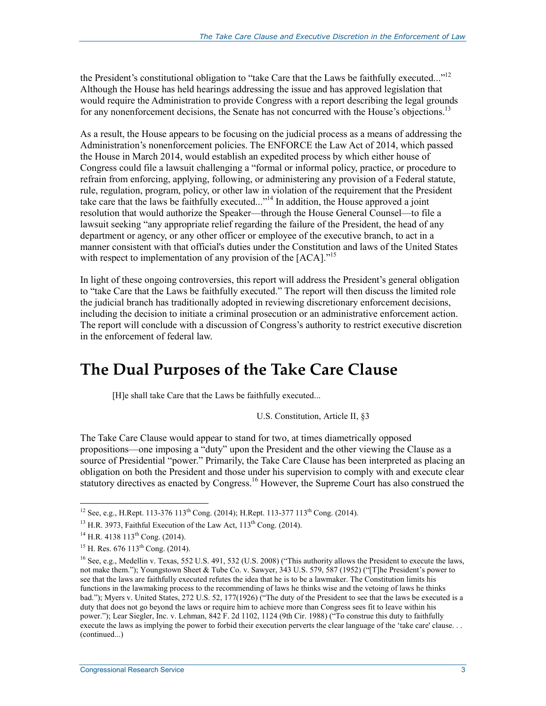the President's constitutional obligation to "take Care that the Laws be faithfully executed..."<sup>12</sup> Although the House has held hearings addressing the issue and has approved legislation that would require the Administration to provide Congress with a report describing the legal grounds for any nonenforcement decisions, the Senate has not concurred with the House's objections.<sup>13</sup>

As a result, the House appears to be focusing on the judicial process as a means of addressing the Administration's nonenforcement policies. The ENFORCE the Law Act of 2014, which passed the House in March 2014, would establish an expedited process by which either house of Congress could file a lawsuit challenging a "formal or informal policy, practice, or procedure to refrain from enforcing, applying, following, or administering any provision of a Federal statute, rule, regulation, program, policy, or other law in violation of the requirement that the President take care that the laws be faithfully executed..."14 In addition, the House approved a joint resolution that would authorize the Speaker—through the House General Counsel—to file a lawsuit seeking "any appropriate relief regarding the failure of the President, the head of any department or agency, or any other officer or employee of the executive branch, to act in a manner consistent with that official's duties under the Constitution and laws of the United States with respect to implementation of any provision of the  $[ACA]$ ."<sup>15</sup>

In light of these ongoing controversies, this report will address the President's general obligation to "take Care that the Laws be faithfully executed." The report will then discuss the limited role the judicial branch has traditionally adopted in reviewing discretionary enforcement decisions, including the decision to initiate a criminal prosecution or an administrative enforcement action. The report will conclude with a discussion of Congress's authority to restrict executive discretion in the enforcement of federal law.

### **The Dual Purposes of the Take Care Clause**

[H]e shall take Care that the Laws be faithfully executed...

U.S. Constitution, Article II, §3

The Take Care Clause would appear to stand for two, at times diametrically opposed propositions—one imposing a "duty" upon the President and the other viewing the Clause as a source of Presidential "power." Primarily, the Take Care Clause has been interpreted as placing an obligation on both the President and those under his supervision to comply with and execute clear statutory directives as enacted by Congress.<sup>16</sup> However, the Supreme Court has also construed the

<sup>&</sup>lt;sup>12</sup> See, e.g., H.Rept. 113-376 113<sup>th</sup> Cong. (2014); H.Rept. 113-377 113<sup>th</sup> Cong. (2014).

 $^{13}$  H.R. 3973, Faithful Execution of the Law Act,  $113^{th}$  Cong. (2014).

 $14$  H.R. 4138 113<sup>th</sup> Cong. (2014).

<sup>&</sup>lt;sup>15</sup> H. Res. 676 113<sup>th</sup> Cong. (2014).

<sup>&</sup>lt;sup>16</sup> See, e.g., Medellin v. Texas, 552 U.S. 491, 532 (U.S. 2008) ("This authority allows the President to execute the laws, not make them."); Youngstown Sheet & Tube Co. v. Sawyer, 343 U.S. 579, 587 (1952) ("[T]he President's power to see that the laws are faithfully executed refutes the idea that he is to be a lawmaker. The Constitution limits his functions in the lawmaking process to the recommending of laws he thinks wise and the vetoing of laws he thinks bad."); Myers v. United States, 272 U.S. 52, 177(1926) ("The duty of the President to see that the laws be executed is a duty that does not go beyond the laws or require him to achieve more than Congress sees fit to leave within his power."); Lear Siegler, Inc. v. Lehman, 842 F. 2d 1102, 1124 (9th Cir. 1988) ("To construe this duty to faithfully execute the laws as implying the power to forbid their execution perverts the clear language of the 'take care' clause. . . (continued...)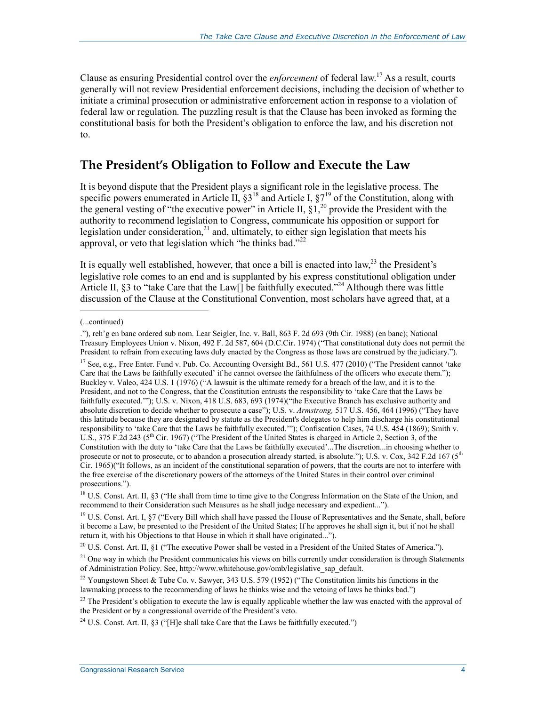Clause as ensuring Presidential control over the *enforcement* of federal law.17 As a result, courts generally will not review Presidential enforcement decisions, including the decision of whether to initiate a criminal prosecution or administrative enforcement action in response to a violation of federal law or regulation. The puzzling result is that the Clause has been invoked as forming the constitutional basis for both the President's obligation to enforce the law, and his discretion not to.

#### **The President's Obligation to Follow and Execute the Law**

It is beyond dispute that the President plays a significant role in the legislative process. The specific powers enumerated in Article II,  $\S 3^{18}$  and Article I,  $\S 7^{19}$  of the Constitution, along with the general vesting of "the executive power" in Article II,  $\S_1$ ,  $\S_0$  provide the President with the authority to recommend legislation to Congress, communicate his opposition or support for legislation under consideration,<sup>21</sup> and, ultimately, to either sign legislation that meets his approval, or veto that legislation which "he thinks bad."<sup>22</sup>

It is equally well established, however, that once a bill is enacted into  $law<sub>1</sub><sup>23</sup>$  the President's legislative role comes to an end and is supplanted by his express constitutional obligation under Article II, §3 to "take Care that the Law[] be faithfully executed."<sup>24</sup> Although there was little discussion of the Clause at the Constitutional Convention, most scholars have agreed that, at a

 $\overline{a}$ 

<sup>(...</sup>continued)

<sup>.&</sup>quot;), reh'g en banc ordered sub nom. Lear Seigler, Inc. v. Ball, 863 F. 2d 693 (9th Cir. 1988) (en banc); National Treasury Employees Union v. Nixon, 492 F. 2d 587, 604 (D.C.Cir. 1974) ("That constitutional duty does not permit the President to refrain from executing laws duly enacted by the Congress as those laws are construed by the judiciary.").

<sup>&</sup>lt;sup>17</sup> See, e.g., Free Enter. Fund v. Pub. Co. Accounting Oversight Bd., 561 U.S. 477 (2010) ("The President cannot 'take Care that the Laws be faithfully executed' if he cannot oversee the faithfulness of the officers who execute them."); Buckley v. Valeo, 424 U.S. 1 (1976) ("A lawsuit is the ultimate remedy for a breach of the law, and it is to the President, and not to the Congress, that the Constitution entrusts the responsibility to 'take Care that the Laws be faithfully executed.'"); U.S. v. Nixon, 418 U.S. 683, 693 (1974)("the Executive Branch has exclusive authority and absolute discretion to decide whether to prosecute a case"); U.S. v. *Armstrong,* 517 U.S. 456, 464 (1996) ("They have this latitude because they are designated by statute as the President's delegates to help him discharge his constitutional responsibility to 'take Care that the Laws be faithfully executed.'"); Confiscation Cases, 74 U.S. 454 (1869); Smith v. U.S., 375 F.2d 243 ( $5^{th}$  Cir. 1967) ("The President of the United States is charged in Article 2, Section 3, of the Constitution with the duty to 'take Care that the Laws be faithfully executed'...The discretion...in choosing whether to prosecute or not to prosecute, or to abandon a prosecution already started, is absolute."); U.S. v. Cox, 342 F.2d 167 (5<sup>th</sup> Cir. 1965)("It follows, as an incident of the constitutional separation of powers, that the courts are not to interfere with the free exercise of the discretionary powers of the attorneys of the United States in their control over criminal prosecutions.").

<sup>&</sup>lt;sup>18</sup> U.S. Const. Art. II, §3 ("He shall from time to time give to the Congress Information on the State of the Union, and recommend to their Consideration such Measures as he shall judge necessary and expedient...").

<sup>&</sup>lt;sup>19</sup> U.S. Const. Art. I,  $\frac{87}{15}$  ("Every Bill which shall have passed the House of Representatives and the Senate, shall, before it become a Law, be presented to the President of the United States; If he approves he shall sign it, but if not he shall return it, with his Objections to that House in which it shall have originated...").

<sup>&</sup>lt;sup>20</sup> U.S. Const. Art. II, §1 ("The executive Power shall be vested in a President of the United States of America.").

 $21$  One way in which the President communicates his views on bills currently under consideration is through Statements of Administration Policy. See, http://www.whitehouse.gov/omb/legislative\_sap\_default.

<sup>&</sup>lt;sup>22</sup> Youngstown Sheet & Tube Co. v. Sawyer, 343 U.S. 579 (1952) ("The Constitution limits his functions in the lawmaking process to the recommending of laws he thinks wise and the vetoing of laws he thinks bad.")

 $23$  The President's obligation to execute the law is equally applicable whether the law was enacted with the approval of the President or by a congressional override of the President's veto.

<sup>&</sup>lt;sup>24</sup> U.S. Const. Art. II,  $\S3$  ("H]e shall take Care that the Laws be faithfully executed.")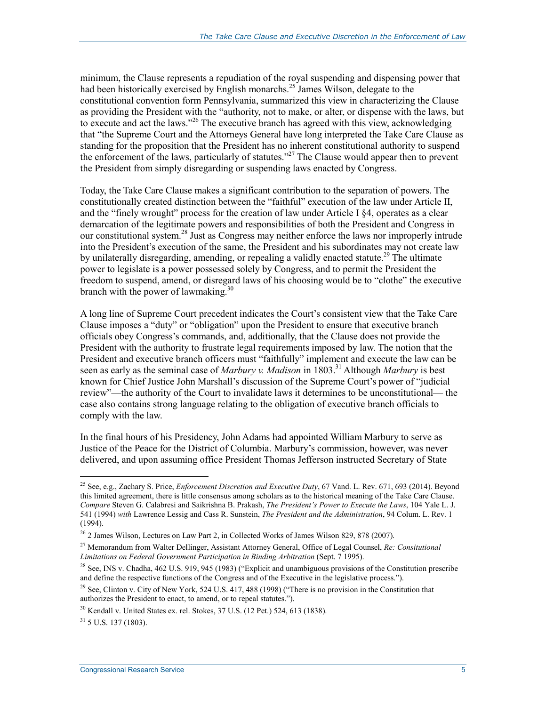minimum, the Clause represents a repudiation of the royal suspending and dispensing power that had been historically exercised by English monarchs.<sup>25</sup> James Wilson, delegate to the constitutional convention form Pennsylvania, summarized this view in characterizing the Clause as providing the President with the "authority, not to make, or alter, or dispense with the laws, but to execute and act the laws."<sup>26</sup> The executive branch has agreed with this view, acknowledging that "the Supreme Court and the Attorneys General have long interpreted the Take Care Clause as standing for the proposition that the President has no inherent constitutional authority to suspend the enforcement of the laws, particularly of statutes."<sup>27</sup> The Clause would appear then to prevent the President from simply disregarding or suspending laws enacted by Congress.

Today, the Take Care Clause makes a significant contribution to the separation of powers. The constitutionally created distinction between the "faithful" execution of the law under Article II, and the "finely wrought" process for the creation of law under Article I §4, operates as a clear demarcation of the legitimate powers and responsibilities of both the President and Congress in our constitutional system.28 Just as Congress may neither enforce the laws nor improperly intrude into the President's execution of the same, the President and his subordinates may not create law by unilaterally disregarding, amending, or repealing a validly enacted statute.<sup>29</sup> The ultimate power to legislate is a power possessed solely by Congress, and to permit the President the freedom to suspend, amend, or disregard laws of his choosing would be to "clothe" the executive branch with the power of lawmaking. $30$ 

A long line of Supreme Court precedent indicates the Court's consistent view that the Take Care Clause imposes a "duty" or "obligation" upon the President to ensure that executive branch officials obey Congress's commands, and, additionally, that the Clause does not provide the President with the authority to frustrate legal requirements imposed by law. The notion that the President and executive branch officers must "faithfully" implement and execute the law can be seen as early as the seminal case of *Marbury v. Madison* in 1803.<sup>31</sup> Although *Marbury* is best known for Chief Justice John Marshall's discussion of the Supreme Court's power of "judicial review"—the authority of the Court to invalidate laws it determines to be unconstitutional— the case also contains strong language relating to the obligation of executive branch officials to comply with the law.

In the final hours of his Presidency, John Adams had appointed William Marbury to serve as Justice of the Peace for the District of Columbia. Marbury's commission, however, was never delivered, and upon assuming office President Thomas Jefferson instructed Secretary of State

 $31$  5 U.S. 137 (1803).

<u>.</u>

<sup>25</sup> See, e.g., Zachary S. Price, *Enforcement Discretion and Executive Duty*, 67 Vand. L. Rev. 671, 693 (2014). Beyond this limited agreement, there is little consensus among scholars as to the historical meaning of the Take Care Clause. *Compare* Steven G. Calabresi and Saikrishna B. Prakash, *The President's Power to Execute the Laws*, 104 Yale L. J. 541 (1994) *with* Lawrence Lessig and Cass R. Sunstein, *The President and the Administration*, 94 Colum. L. Rev. 1 (1994).

 $26$  2 James Wilson, Lectures on Law Part 2, in Collected Works of James Wilson 829, 878 (2007).

<sup>27</sup> Memorandum from Walter Dellinger, Assistant Attorney General, Office of Legal Counsel, *Re: Consitutional Limitations on Federal Government Participation in Binding Arbitration* (Sept. 7 1995).

<sup>&</sup>lt;sup>28</sup> See, INS v. Chadha, 462 U.S. 919, 945 (1983) ("Explicit and unambiguous provisions of the Constitution prescribe and define the respective functions of the Congress and of the Executive in the legislative process.").

<sup>&</sup>lt;sup>29</sup> See, Clinton v. City of New York, 524 U.S. 417, 488 (1998) ("There is no provision in the Constitution that authorizes the President to enact, to amend, or to repeal statutes.").

 $30$  Kendall v. United States ex. rel. Stokes, 37 U.S. (12 Pet.) 524, 613 (1838).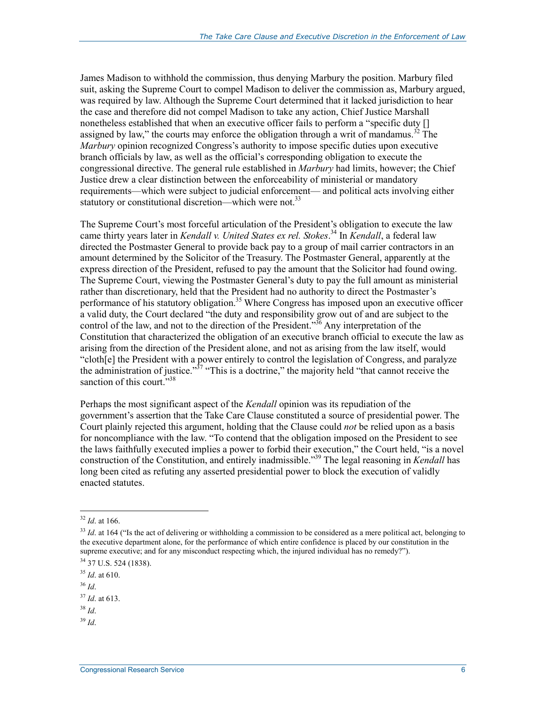James Madison to withhold the commission, thus denying Marbury the position. Marbury filed suit, asking the Supreme Court to compel Madison to deliver the commission as, Marbury argued, was required by law. Although the Supreme Court determined that it lacked jurisdiction to hear the case and therefore did not compel Madison to take any action, Chief Justice Marshall nonetheless established that when an executive officer fails to perform a "specific duty [] assigned by law," the courts may enforce the obligation through a writ of mandamus.<sup>32</sup> The *Marbury* opinion recognized Congress's authority to impose specific duties upon executive branch officials by law, as well as the official's corresponding obligation to execute the congressional directive. The general rule established in *Marbury* had limits, however; the Chief Justice drew a clear distinction between the enforceability of ministerial or mandatory requirements—which were subject to judicial enforcement— and political acts involving either statutory or constitutional discretion—which were not.<sup>33</sup>

The Supreme Court's most forceful articulation of the President's obligation to execute the law came thirty years later in *Kendall v. United States ex rel. Stokes*. 34 In *Kendall*, a federal law directed the Postmaster General to provide back pay to a group of mail carrier contractors in an amount determined by the Solicitor of the Treasury. The Postmaster General, apparently at the express direction of the President, refused to pay the amount that the Solicitor had found owing. The Supreme Court, viewing the Postmaster General's duty to pay the full amount as ministerial rather than discretionary, held that the President had no authority to direct the Postmaster's performance of his statutory obligation.<sup>35</sup> Where Congress has imposed upon an executive officer a valid duty, the Court declared "the duty and responsibility grow out of and are subject to the control of the law, and not to the direction of the President."<sup>36</sup> Any interpretation of the Constitution that characterized the obligation of an executive branch official to execute the law as arising from the direction of the President alone, and not as arising from the law itself, would "cloth[e] the President with a power entirely to control the legislation of Congress, and paralyze the administration of justice."<sup>37</sup> "This is a doctrine," the majority held "that cannot receive the sanction of this court."<sup>38</sup>

Perhaps the most significant aspect of the *Kendall* opinion was its repudiation of the government's assertion that the Take Care Clause constituted a source of presidential power. The Court plainly rejected this argument, holding that the Clause could *not* be relied upon as a basis for noncompliance with the law. "To contend that the obligation imposed on the President to see the laws faithfully executed implies a power to forbid their execution," the Court held, "is a novel construction of the Constitution, and entirely inadmissible."39 The legal reasoning in *Kendall* has long been cited as refuting any asserted presidential power to block the execution of validly enacted statutes.

1

<sup>36</sup> *Id*.

<sup>38</sup> *Id*.

<sup>32</sup> *Id*. at 166.

<sup>&</sup>lt;sup>33</sup> *Id.* at 164 ("Is the act of delivering or withholding a commission to be considered as a mere political act, belonging to the executive department alone, for the performance of which entire confidence is placed by our constitution in the supreme executive; and for any misconduct respecting which, the injured individual has no remedy?").

<sup>34 37</sup> U.S. 524 (1838).

<sup>35</sup> *Id*. at 610.

<sup>37</sup> *Id*. at 613.

<sup>39</sup> *Id*.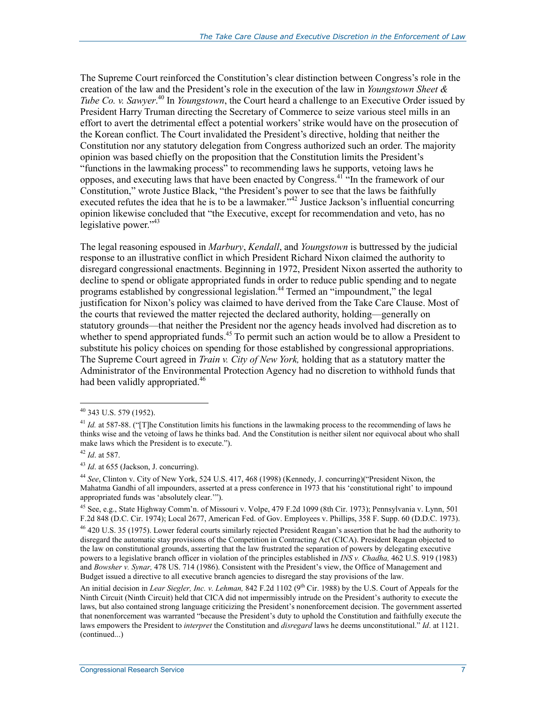The Supreme Court reinforced the Constitution's clear distinction between Congress's role in the creation of the law and the President's role in the execution of the law in *Youngstown Sheet & Tube Co. v. Sawyer*. 40 In *Youngstown*, the Court heard a challenge to an Executive Order issued by President Harry Truman directing the Secretary of Commerce to seize various steel mills in an effort to avert the detrimental effect a potential workers' strike would have on the prosecution of the Korean conflict. The Court invalidated the President's directive, holding that neither the Constitution nor any statutory delegation from Congress authorized such an order. The majority opinion was based chiefly on the proposition that the Constitution limits the President's "functions in the lawmaking process" to recommending laws he supports, vetoing laws he opposes, and executing laws that have been enacted by Congress.<sup>41  $\cdot$ </sup>In the framework of our Constitution," wrote Justice Black, "the President's power to see that the laws be faithfully executed refutes the idea that he is to be a lawmaker.<sup>742</sup> Justice Jackson's influential concurring opinion likewise concluded that "the Executive, except for recommendation and veto, has no legislative power."<sup>43</sup>

The legal reasoning espoused in *Marbury*, *Kendall*, and *Youngstown* is buttressed by the judicial response to an illustrative conflict in which President Richard Nixon claimed the authority to disregard congressional enactments. Beginning in 1972, President Nixon asserted the authority to decline to spend or obligate appropriated funds in order to reduce public spending and to negate programs established by congressional legislation.44 Termed an "impoundment," the legal justification for Nixon's policy was claimed to have derived from the Take Care Clause. Most of the courts that reviewed the matter rejected the declared authority, holding—generally on statutory grounds—that neither the President nor the agency heads involved had discretion as to whether to spend appropriated funds.<sup>45</sup> To permit such an action would be to allow a President to substitute his policy choices on spending for those established by congressional appropriations. The Supreme Court agreed in *Train v. City of New York,* holding that as a statutory matter the Administrator of the Environmental Protection Agency had no discretion to withhold funds that had been validly appropriated.<sup>46</sup>

 $40$  343 U.S. 579 (1952).

<sup>&</sup>lt;sup>41</sup> *Id.* at 587-88. ("[T]he Constitution limits his functions in the lawmaking process to the recommending of laws he thinks wise and the vetoing of laws he thinks bad. And the Constitution is neither silent nor equivocal about who shall make laws which the President is to execute.").

<sup>42</sup> *Id*. at 587.

<sup>43</sup> *Id*. at 655 (Jackson, J. concurring).

<sup>44</sup> *See*, Clinton v. City of New York, 524 U.S. 417, 468 (1998) (Kennedy, J. concurring)("President Nixon, the Mahatma Gandhi of all impounders, asserted at a press conference in 1973 that his 'constitutional right' to impound appropriated funds was 'absolutely clear.'").

<sup>45</sup> See, e.g., State Highway Comm'n. of Missouri v. Volpe, 479 F.2d 1099 (8th Cir. 1973); Pennsylvania v. Lynn, 501 F.2d 848 (D.C. Cir. 1974); Local 2677, American Fed. of Gov. Employees v. Phillips, 358 F. Supp. 60 (D.D.C. 1973).

<sup>&</sup>lt;sup>46</sup> 420 U.S. 35 (1975). Lower federal courts similarly rejected President Reagan's assertion that he had the authority to disregard the automatic stay provisions of the Competition in Contracting Act (CICA). President Reagan objected to the law on constitutional grounds, asserting that the law frustrated the separation of powers by delegating executive powers to a legislative branch officer in violation of the principles established in *INS v. Chadha,* 462 U.S. 919 (1983) and *Bowsher v. Synar,* 478 US. 714 (1986). Consistent with the President's view, the Office of Management and Budget issued a directive to all executive branch agencies to disregard the stay provisions of the law.

An initial decision in *Lear Siegler, Inc. v. Lehman*, 842 F.2d 1102 (9<sup>th</sup> Cir. 1988) by the U.S. Court of Appeals for the Ninth Circuit (Ninth Circuit) held that CICA did not impermissibly intrude on the President's authority to execute the laws, but also contained strong language criticizing the President's nonenforcement decision. The government asserted that nonenforcement was warranted "because the President's duty to uphold the Constitution and faithfully execute the laws empowers the President to *interpret* the Constitution and *disregard* laws he deems unconstitutional." *Id*. at 1121. (continued...)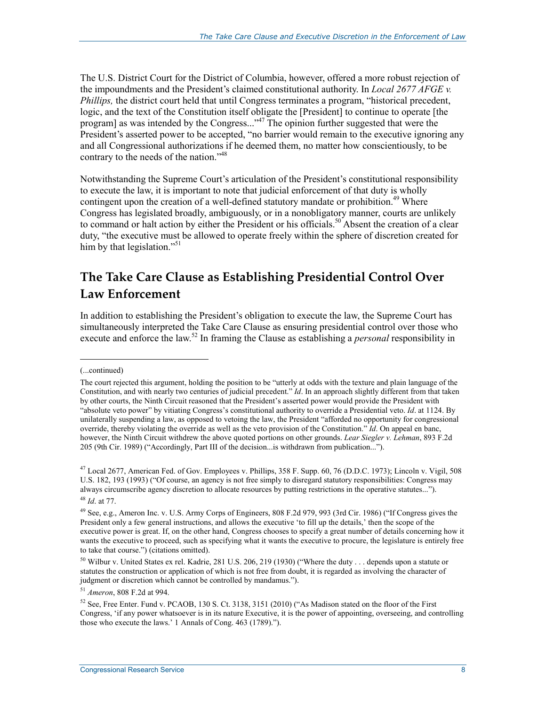The U.S. District Court for the District of Columbia, however, offered a more robust rejection of the impoundments and the President's claimed constitutional authority. In *Local 2677 AFGE v. Phillips,* the district court held that until Congress terminates a program, "historical precedent, logic, and the text of the Constitution itself obligate the [President] to continue to operate [the program] as was intended by the Congress..."47 The opinion further suggested that were the President's asserted power to be accepted, "no barrier would remain to the executive ignoring any and all Congressional authorizations if he deemed them, no matter how conscientiously, to be contrary to the needs of the nation."<sup>48</sup>

Notwithstanding the Supreme Court's articulation of the President's constitutional responsibility to execute the law, it is important to note that judicial enforcement of that duty is wholly contingent upon the creation of a well-defined statutory mandate or prohibition.<sup>49</sup> Where Congress has legislated broadly, ambiguously, or in a nonobligatory manner, courts are unlikely to command or halt action by either the President or his officials.<sup>50</sup> Absent the creation of a clear duty, "the executive must be allowed to operate freely within the sphere of discretion created for him by that legislation."<sup>51</sup>

### **The Take Care Clause as Establishing Presidential Control Over Law Enforcement**

In addition to establishing the President's obligation to execute the law, the Supreme Court has simultaneously interpreted the Take Care Clause as ensuring presidential control over those who execute and enforce the law.<sup>52</sup> In framing the Clause as establishing a *personal* responsibility in

 $\overline{a}$ 

<sup>51</sup> *Ameron*, 808 F.2d at 994.

<sup>(...</sup>continued)

The court rejected this argument, holding the position to be "utterly at odds with the texture and plain language of the Constitution, and with nearly two centuries of judicial precedent." *Id*. In an approach slightly different from that taken by other courts, the Ninth Circuit reasoned that the President's asserted power would provide the President with "absolute veto power" by vitiating Congress's constitutional authority to override a Presidential veto. *Id*. at 1124. By unilaterally suspending a law, as opposed to vetoing the law, the President "afforded no opportunity for congressional override, thereby violating the override as well as the veto provision of the Constitution." *Id*. On appeal en banc, however, the Ninth Circuit withdrew the above quoted portions on other grounds. *Lear Siegler v. Lehman*, 893 F.2d 205 (9th Cir. 1989) ("Accordingly, Part III of the decision...is withdrawn from publication...").

 $^{47}$  Local 2677, American Fed. of Gov. Employees v. Phillips, 358 F. Supp. 60, 76 (D.D.C. 1973); Lincoln v. Vigil, 508 U.S. 182, 193 (1993) ("Of course, an agency is not free simply to disregard statutory responsibilities: Congress may always circumscribe agency discretion to allocate resources by putting restrictions in the operative statutes..."). <sup>48</sup> *Id*. at 77.

<sup>&</sup>lt;sup>49</sup> See, e.g., Ameron Inc. v. U.S. Army Corps of Engineers, 808 F.2d 979, 993 (3rd Cir. 1986) ("If Congress gives the President only a few general instructions, and allows the executive 'to fill up the details,' then the scope of the executive power is great. If, on the other hand, Congress chooses to specify a great number of details concerning how it wants the executive to proceed, such as specifying what it wants the executive to procure, the legislature is entirely free to take that course.") (citations omitted).

<sup>&</sup>lt;sup>50</sup> Wilbur v. United States ex rel. Kadrie, 281 U.S. 206, 219 (1930) ("Where the duty . . . depends upon a statute or statutes the construction or application of which is not free from doubt, it is regarded as involving the character of judgment or discretion which cannot be controlled by mandamus.").

<sup>52</sup> See, Free Enter. Fund v. PCAOB, 130 S. Ct. 3138, 3151 (2010) ("As Madison stated on the floor of the First Congress, 'if any power whatsoever is in its nature Executive, it is the power of appointing, overseeing, and controlling those who execute the laws.' 1 Annals of Cong. 463 (1789).").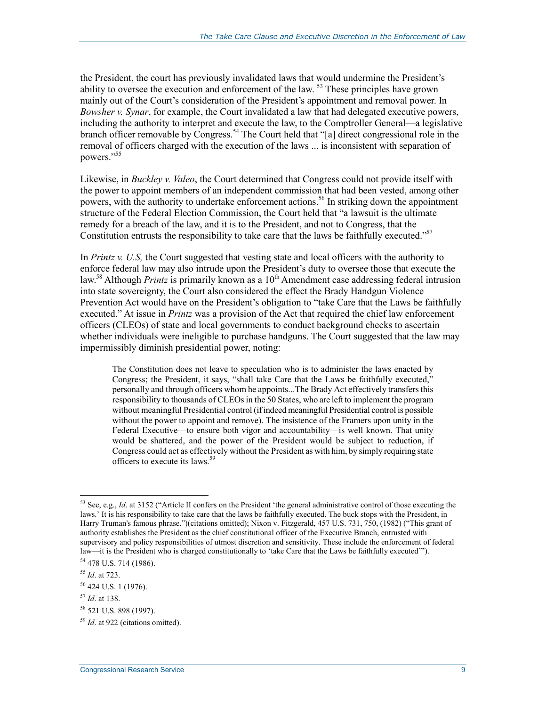the President, the court has previously invalidated laws that would undermine the President's ability to oversee the execution and enforcement of the law. 53 These principles have grown mainly out of the Court's consideration of the President's appointment and removal power. In *Bowsher v. Synar*, for example, the Court invalidated a law that had delegated executive powers, including the authority to interpret and execute the law, to the Comptroller General—a legislative branch officer removable by Congress.54 The Court held that "[a] direct congressional role in the removal of officers charged with the execution of the laws ... is inconsistent with separation of powers."<sup>55</sup>

Likewise, in *Buckley v. Valeo*, the Court determined that Congress could not provide itself with the power to appoint members of an independent commission that had been vested, among other powers, with the authority to undertake enforcement actions.<sup>56</sup> In striking down the appointment structure of the Federal Election Commission, the Court held that "a lawsuit is the ultimate remedy for a breach of the law, and it is to the President, and not to Congress, that the Constitution entrusts the responsibility to take care that the laws be faithfully executed."<sup>57</sup>

In *Printz v. U.S,* the Court suggested that vesting state and local officers with the authority to enforce federal law may also intrude upon the President's duty to oversee those that execute the law.<sup>58</sup> Although *Printz* is primarily known as a 10<sup>th</sup> Amendment case addressing federal intrusion into state sovereignty, the Court also considered the effect the Brady Handgun Violence Prevention Act would have on the President's obligation to "take Care that the Laws be faithfully executed." At issue in *Printz* was a provision of the Act that required the chief law enforcement officers (CLEOs) of state and local governments to conduct background checks to ascertain whether individuals were ineligible to purchase handguns. The Court suggested that the law may impermissibly diminish presidential power, noting:

The Constitution does not leave to speculation who is to administer the laws enacted by Congress; the President, it says, "shall take Care that the Laws be faithfully executed," personally and through officers whom he appoints...The Brady Act effectively transfers this responsibility to thousands of CLEOs in the 50 States, who are left to implement the program without meaningful Presidential control (if indeed meaningful Presidential control is possible without the power to appoint and remove). The insistence of the Framers upon unity in the Federal Executive—to ensure both vigor and accountability—is well known. That unity would be shattered, and the power of the President would be subject to reduction, if Congress could act as effectively without the President as with him, by simply requiring state officers to execute its laws.59

<sup>&</sup>lt;sup>53</sup> See, e.g., *Id.* at 3152 ("Article II confers on the President 'the general administrative control of those executing the laws.' It is his responsibility to take care that the laws be faithfully executed. The buck stops with the President, in Harry Truman's famous phrase.")(citations omitted); Nixon v. Fitzgerald, 457 U.S. 731, 750, (1982) ("This grant of authority establishes the President as the chief constitutional officer of the Executive Branch, entrusted with supervisory and policy responsibilities of utmost discretion and sensitivity. These include the enforcement of federal law—it is the President who is charged constitutionally to 'take Care that the Laws be faithfully executed'").

<sup>54 478</sup> U.S. 714 (1986).

<sup>55</sup> *Id*. at 723.

<sup>56 424</sup> U.S. 1 (1976).

<sup>57</sup> *Id*. at 138.

<sup>58 521</sup> U.S. 898 (1997).

<sup>59</sup> *Id*. at 922 (citations omitted).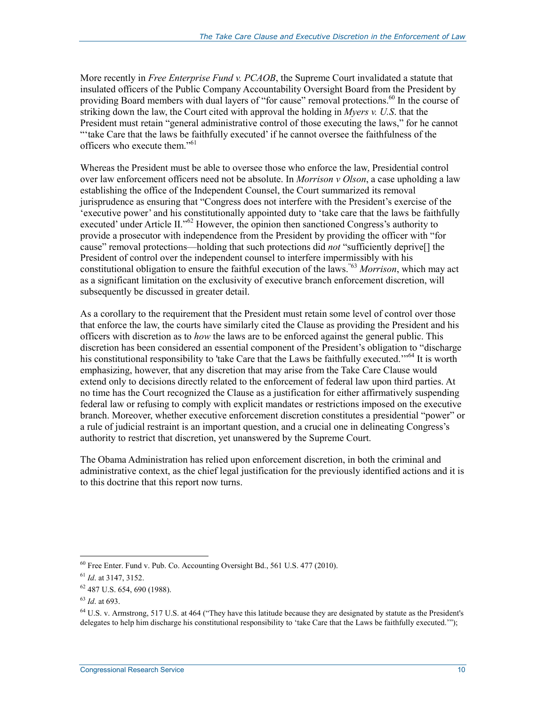More recently in *Free Enterprise Fund v. PCAOB*, the Supreme Court invalidated a statute that insulated officers of the Public Company Accountability Oversight Board from the President by providing Board members with dual layers of "for cause" removal protections.<sup>60</sup> In the course of striking down the law, the Court cited with approval the holding in *Myers v. U.S*. that the President must retain "general administrative control of those executing the laws," for he cannot "'take Care that the laws be faithfully executed' if he cannot oversee the faithfulness of the officers who execute them."<sup>61</sup>

Whereas the President must be able to oversee those who enforce the law, Presidential control over law enforcement officers need not be absolute. In *Morrison v Olson*, a case upholding a law establishing the office of the Independent Counsel, the Court summarized its removal jurisprudence as ensuring that "Congress does not interfere with the President's exercise of the 'executive power' and his constitutionally appointed duty to 'take care that the laws be faithfully executed' under Article II."<sup>62</sup> However, the opinion then sanctioned Congress's authority to provide a prosecutor with independence from the President by providing the officer with "for cause" removal protections—holding that such protections did *not* "sufficiently deprive[] the President of control over the independent counsel to interfere impermissibly with his constitutional obligation to ensure the faithful execution of the laws."63 *Morrison*, which may act as a significant limitation on the exclusivity of executive branch enforcement discretion, will subsequently be discussed in greater detail.

As a corollary to the requirement that the President must retain some level of control over those that enforce the law, the courts have similarly cited the Clause as providing the President and his officers with discretion as to *how* the laws are to be enforced against the general public. This discretion has been considered an essential component of the President's obligation to "discharge his constitutional responsibility to 'take Care that the Laws be faithfully executed.'"<sup>64</sup> It is worth emphasizing, however, that any discretion that may arise from the Take Care Clause would extend only to decisions directly related to the enforcement of federal law upon third parties. At no time has the Court recognized the Clause as a justification for either affirmatively suspending federal law or refusing to comply with explicit mandates or restrictions imposed on the executive branch. Moreover, whether executive enforcement discretion constitutes a presidential "power" or a rule of judicial restraint is an important question, and a crucial one in delineating Congress's authority to restrict that discretion, yet unanswered by the Supreme Court.

The Obama Administration has relied upon enforcement discretion, in both the criminal and administrative context, as the chief legal justification for the previously identified actions and it is to this doctrine that this report now turns.

<sup>&</sup>lt;sup>60</sup> Free Enter. Fund v. Pub. Co. Accounting Oversight Bd., 561 U.S. 477 (2010).

<sup>61</sup> *Id*. at 3147, 3152.

<sup>62 487</sup> U.S. 654, 690 (1988).

<sup>63</sup> *Id*. at 693.

<sup>&</sup>lt;sup>64</sup> U.S. v. Armstrong, 517 U.S. at 464 ("They have this latitude because they are designated by statute as the President's delegates to help him discharge his constitutional responsibility to 'take Care that the Laws be faithfully executed.'");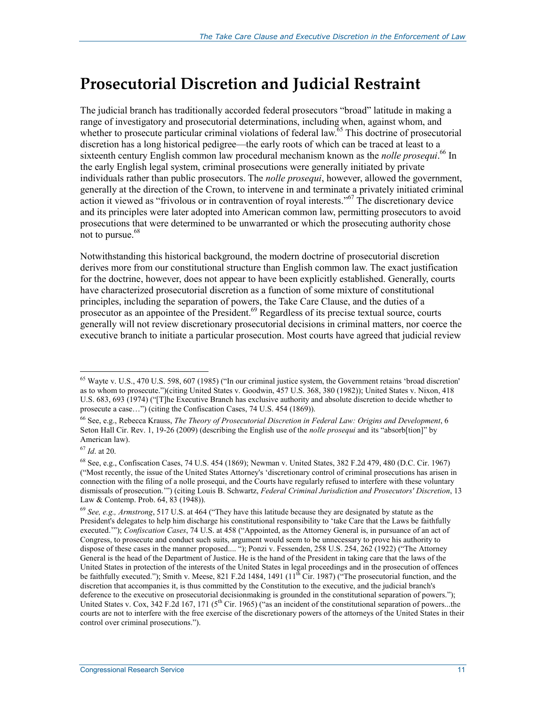### **Prosecutorial Discretion and Judicial Restraint**

The judicial branch has traditionally accorded federal prosecutors "broad" latitude in making a range of investigatory and prosecutorial determinations, including when, against whom, and whether to prosecute particular criminal violations of federal law.<sup>65</sup> This doctrine of prosecutorial discretion has a long historical pedigree—the early roots of which can be traced at least to a sixteenth century English common law procedural mechanism known as the *nolle prosequi*.<sup>66</sup> In the early English legal system, criminal prosecutions were generally initiated by private individuals rather than public prosecutors. The *nolle prosequi*, however, allowed the government, generally at the direction of the Crown, to intervene in and terminate a privately initiated criminal action it viewed as "frivolous or in contravention of royal interests."<sup>67</sup> The discretionary device and its principles were later adopted into American common law, permitting prosecutors to avoid prosecutions that were determined to be unwarranted or which the prosecuting authority chose not to pursue.<sup>68</sup>

Notwithstanding this historical background, the modern doctrine of prosecutorial discretion derives more from our constitutional structure than English common law. The exact justification for the doctrine, however, does not appear to have been explicitly established. Generally, courts have characterized prosecutorial discretion as a function of some mixture of constitutional principles, including the separation of powers, the Take Care Clause, and the duties of a prosecutor as an appointee of the President.<sup>69</sup> Regardless of its precise textual source, courts generally will not review discretionary prosecutorial decisions in criminal matters, nor coerce the executive branch to initiate a particular prosecution. Most courts have agreed that judicial review

 $65$  Wayte v. U.S., 470 U.S. 598, 607 (1985) ("In our criminal justice system, the Government retains 'broad discretion' as to whom to prosecute.")(citing United States v. Goodwin, 457 U.S. 368, 380 (1982)); United States v. Nixon, 418 U.S. 683, 693 (1974) ("[T]he Executive Branch has exclusive authority and absolute discretion to decide whether to prosecute a case…") (citing the Confiscation Cases, 74 U.S. 454 (1869)).

<sup>66</sup> See, e.g., Rebecca Krauss, *The Theory of Prosecutorial Discretion in Federal Law: Origins and Development*, 6 Seton Hall Cir. Rev. 1, 19-26 (2009) (describing the English use of the *nolle prosequi* and its "absorb[tion]" by American law).

<sup>67</sup> *Id*. at 20.

<sup>68</sup> See, e.g., Confiscation Cases, 74 U.S. 454 (1869); Newman v. United States, 382 F.2d 479, 480 (D.C. Cir. 1967) ("Most recently, the issue of the United States Attorney's 'discretionary control of criminal prosecutions has arisen in connection with the filing of a nolle prosequi, and the Courts have regularly refused to interfere with these voluntary dismissals of prosecution.'") (citing Louis B. Schwartz, *Federal Criminal Jurisdiction and Prosecutors' Discretion*, 13 Law & Contemp. Prob. 64, 83 (1948)).

<sup>69</sup> *See, e.g., Armstrong*, 517 U.S. at 464 ("They have this latitude because they are designated by statute as the President's delegates to help him discharge his constitutional responsibility to 'take Care that the Laws be faithfully executed.'"); *Confiscation Cases*, 74 U.S. at 458 ("Appointed, as the Attorney General is, in pursuance of an act of Congress, to prosecute and conduct such suits, argument would seem to be unnecessary to prove his authority to dispose of these cases in the manner proposed.... "); Ponzi v. Fessenden, 258 U.S. 254, 262 (1922) ("The Attorney General is the head of the Department of Justice. He is the hand of the President in taking care that the laws of the United States in protection of the interests of the United States in legal proceedings and in the prosecution of offences be faithfully executed."); Smith v. Meese, 821 F.2d 1484, 1491 (11<sup>th</sup> Cir. 1987) ("The prosecutorial function, and the discretion that accompanies it, is thus committed by the Constitution to the executive, and the judicial branch's deference to the executive on prosecutorial decisionmaking is grounded in the constitutional separation of powers."); United States v. Cox, 342 F.2d 167, 171 ( $5<sup>th</sup>$  Cir. 1965) ("as an incident of the constitutional separation of powers...the courts are not to interfere with the free exercise of the discretionary powers of the attorneys of the United States in their control over criminal prosecutions.").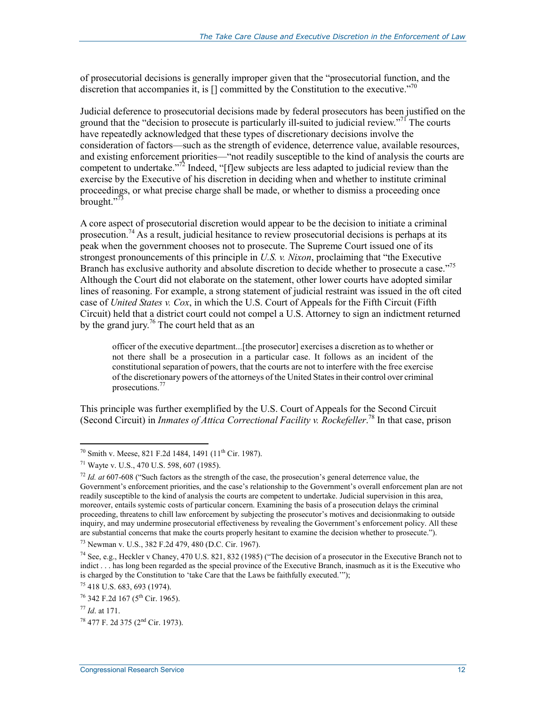of prosecutorial decisions is generally improper given that the "prosecutorial function, and the discretion that accompanies it, is  $\Box$  committed by the Constitution to the executive."<sup>70</sup>

Judicial deference to prosecutorial decisions made by federal prosecutors has been justified on the ground that the "decision to prosecute is particularly ill-suited to judicial review."<sup>71</sup> The courts have repeatedly acknowledged that these types of discretionary decisions involve the consideration of factors—such as the strength of evidence, deterrence value, available resources, and existing enforcement priorities—"not readily susceptible to the kind of analysis the courts are competent to undertake."72 Indeed, "[f]ew subjects are less adapted to judicial review than the exercise by the Executive of his discretion in deciding when and whether to institute criminal proceedings, or what precise charge shall be made, or whether to dismiss a proceeding once brought."<sup>73</sup>

A core aspect of prosecutorial discretion would appear to be the decision to initiate a criminal prosecution.<sup>74</sup> As a result, judicial hesitance to review prosecutorial decisions is perhaps at its peak when the government chooses not to prosecute. The Supreme Court issued one of its strongest pronouncements of this principle in *U.S. v. Nixon*, proclaiming that "the Executive Branch has exclusive authority and absolute discretion to decide whether to prosecute a case."<sup>75</sup> Although the Court did not elaborate on the statement, other lower courts have adopted similar lines of reasoning. For example, a strong statement of judicial restraint was issued in the oft cited case of *United States v. Cox*, in which the U.S. Court of Appeals for the Fifth Circuit (Fifth Circuit) held that a district court could not compel a U.S. Attorney to sign an indictment returned by the grand jury.<sup>76</sup> The court held that as an

officer of the executive department...[the prosecutor] exercises a discretion as to whether or not there shall be a prosecution in a particular case. It follows as an incident of the constitutional separation of powers, that the courts are not to interfere with the free exercise of the discretionary powers of the attorneys of the United States in their control over criminal prosecutions.77

This principle was further exemplified by the U.S. Court of Appeals for the Second Circuit (Second Circuit) in *Inmates of Attica Correctional Facility v. Rockefeller*. 78 In that case, prison

<sup>&</sup>lt;sup>70</sup> Smith v. Meese, 821 F.2d 1484, 1491 (11<sup>th</sup> Cir. 1987).

<sup>71</sup> Wayte v. U.S., 470 U.S. 598, 607 (1985).

<sup>72</sup> *Id. at* 607-608 ("Such factors as the strength of the case, the prosecution's general deterrence value, the Government's enforcement priorities, and the case's relationship to the Government's overall enforcement plan are not readily susceptible to the kind of analysis the courts are competent to undertake. Judicial supervision in this area, moreover, entails systemic costs of particular concern. Examining the basis of a prosecution delays the criminal proceeding, threatens to chill law enforcement by subjecting the prosecutor's motives and decisionmaking to outside inquiry, and may undermine prosecutorial effectiveness by revealing the Government's enforcement policy. All these are substantial concerns that make the courts properly hesitant to examine the decision whether to prosecute.").

<sup>73</sup> Newman v. U.S., 382 F.2d 479, 480 (D.C. Cir. 1967).

<sup>&</sup>lt;sup>74</sup> See, e.g., Heckler v Chaney, 470 U.S. 821, 832 (1985) ("The decision of a prosecutor in the Executive Branch not to indict . . . has long been regarded as the special province of the Executive Branch, inasmuch as it is the Executive who is charged by the Constitution to 'take Care that the Laws be faithfully executed.'");

<sup>75 418</sup> U.S. 683, 693 (1974).

 $76$  342 F.2d 167 ( $5^{\text{th}}$  Cir. 1965).

<sup>77</sup> *Id*. at 171.

<sup>78 477</sup> F. 2d 375 (2nd Cir. 1973).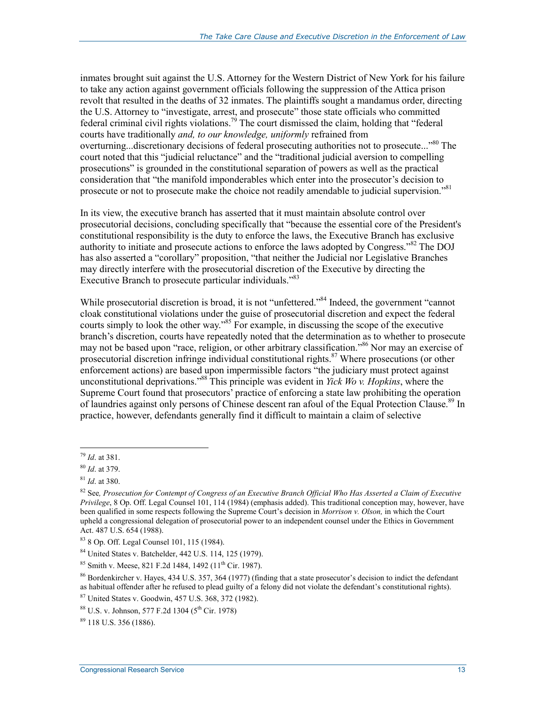inmates brought suit against the U.S. Attorney for the Western District of New York for his failure to take any action against government officials following the suppression of the Attica prison revolt that resulted in the deaths of 32 inmates. The plaintiffs sought a mandamus order, directing the U.S. Attorney to "investigate, arrest, and prosecute" those state officials who committed federal criminal civil rights violations.79 The court dismissed the claim, holding that "federal courts have traditionally *and, to our knowledge, uniformly* refrained from overturning...discretionary decisions of federal prosecuting authorities not to prosecute..."<sup>80</sup> The court noted that this "judicial reluctance" and the "traditional judicial aversion to compelling prosecutions" is grounded in the constitutional separation of powers as well as the practical consideration that "the manifold imponderables which enter into the prosecutor's decision to prosecute or not to prosecute make the choice not readily amendable to judicial supervision."<sup>81</sup>

In its view, the executive branch has asserted that it must maintain absolute control over prosecutorial decisions, concluding specifically that "because the essential core of the President's constitutional responsibility is the duty to enforce the laws, the Executive Branch has exclusive authority to initiate and prosecute actions to enforce the laws adopted by Congress."82 The DOJ has also asserted a "corollary" proposition, "that neither the Judicial nor Legislative Branches may directly interfere with the prosecutorial discretion of the Executive by directing the Executive Branch to prosecute particular individuals."<sup>83</sup>

While prosecutorial discretion is broad, it is not "unfettered."<sup>84</sup> Indeed, the government "cannot" cloak constitutional violations under the guise of prosecutorial discretion and expect the federal courts simply to look the other way."85 For example, in discussing the scope of the executive branch's discretion, courts have repeatedly noted that the determination as to whether to prosecute may not be based upon "race, religion, or other arbitrary classification."<sup>86</sup> Nor may an exercise of prosecutorial discretion infringe individual constitutional rights.<sup>87</sup> Where prosecutions (or other enforcement actions) are based upon impermissible factors "the judiciary must protect against unconstitutional deprivations."88 This principle was evident in *Yick Wo v. Hopkins*, where the Supreme Court found that prosecutors' practice of enforcing a state law prohibiting the operation of laundries against only persons of Chinese descent ran afoul of the Equal Protection Clause.<sup>89</sup> In practice, however, defendants generally find it difficult to maintain a claim of selective

<sup>&</sup>lt;u>.</u> <sup>79</sup> *Id*. at 381.

<sup>80</sup> *Id*. at 379.

<sup>81</sup> *Id*. at 380.

<sup>82</sup> See*, Prosecution for Contempt of Congress of an Executive Branch Official Who Has Asserted a Claim of Executive Privilege*, 8 Op. Off. Legal Counsel 101, 114 (1984) (emphasis added). This traditional conception may, however, have been qualified in some respects following the Supreme Court's decision in *Morrison v. Olson,* in which the Court upheld a congressional delegation of prosecutorial power to an independent counsel under the Ethics in Government Act. 487 U.S. 654 (1988).

<sup>83 8</sup> Op. Off. Legal Counsel 101, 115 (1984).

<sup>84</sup> United States v. Batchelder, 442 U.S. 114, 125 (1979).

<sup>&</sup>lt;sup>85</sup> Smith v. Meese, 821 F.2d 1484, 1492 ( $11^{th}$  Cir. 1987).

<sup>&</sup>lt;sup>86</sup> Bordenkircher v. Hayes, 434 U.S. 357, 364 (1977) (finding that a state prosecutor's decision to indict the defendant as habitual offender after he refused to plead guilty of a felony did not violate the defendant's constitutional rights).

<sup>87</sup> United States v. Goodwin, 457 U.S. 368, 372 (1982).

 $88 \text{ U.S. y. Johnson. } 577 \text{ F.2d} 1304 (5^{\text{th}} \text{ Cir. } 1978)$ 

<sup>89 118</sup> U.S. 356 (1886).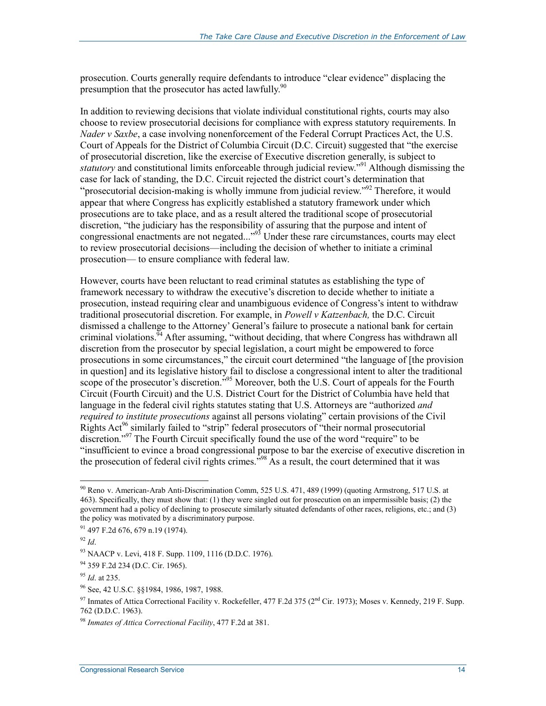prosecution. Courts generally require defendants to introduce "clear evidence" displacing the presumption that the prosecutor has acted lawfully.<sup>90</sup>

In addition to reviewing decisions that violate individual constitutional rights, courts may also choose to review prosecutorial decisions for compliance with express statutory requirements. In *Nader v Saxbe*, a case involving nonenforcement of the Federal Corrupt Practices Act, the U.S. Court of Appeals for the District of Columbia Circuit (D.C. Circuit) suggested that "the exercise of prosecutorial discretion, like the exercise of Executive discretion generally, is subject to *statutory* and constitutional limits enforceable through judicial review."<sup>91</sup> Although dismissing the case for lack of standing, the D.C. Circuit rejected the district court's determination that "prosecutorial decision-making is wholly immune from judicial review."<sup>92</sup> Therefore, it would appear that where Congress has explicitly established a statutory framework under which prosecutions are to take place, and as a result altered the traditional scope of prosecutorial discretion, "the judiciary has the responsibility of assuring that the purpose and intent of congressional enactments are not negated..."<sup>93</sup> Under these rare circumstances, courts may elect to review prosecutorial decisions—including the decision of whether to initiate a criminal prosecution— to ensure compliance with federal law.

However, courts have been reluctant to read criminal statutes as establishing the type of framework necessary to withdraw the executive's discretion to decide whether to initiate a prosecution, instead requiring clear and unambiguous evidence of Congress's intent to withdraw traditional prosecutorial discretion. For example, in *Powell v Katzenbach,* the D.C. Circuit dismissed a challenge to the Attorney' General's failure to prosecute a national bank for certain criminal violations.<sup>94</sup> After assuming, "without deciding, that where Congress has withdrawn all discretion from the prosecutor by special legislation, a court might be empowered to force prosecutions in some circumstances," the circuit court determined "the language of [the provision in question] and its legislative history fail to disclose a congressional intent to alter the traditional scope of the prosecutor's discretion."<sup>95</sup> Moreover, both the U.S. Court of appeals for the Fourth Circuit (Fourth Circuit) and the U.S. District Court for the District of Columbia have held that language in the federal civil rights statutes stating that U.S. Attorneys are "authorized *and required to institute prosecutions* against all persons violating" certain provisions of the Civil Rights Act<sup>96</sup> similarly failed to "strip" federal prosecutors of "their normal prosecutorial discretion."<sup>97</sup> The Fourth Circuit specifically found the use of the word "require" to be "insufficient to evince a broad congressional purpose to bar the exercise of executive discretion in the prosecution of federal civil rights crimes."98 As a result, the court determined that it was

<u>.</u>

<sup>&</sup>lt;sup>90</sup> Reno v. American-Arab Anti-Discrimination Comm, 525 U.S. 471, 489 (1999) (quoting Armstrong, 517 U.S. at 463). Specifically, they must show that: (1) they were singled out for prosecution on an impermissible basis; (2) the government had a policy of declining to prosecute similarly situated defendants of other races, religions, etc.; and (3) the policy was motivated by a discriminatory purpose.

<sup>91 497</sup> F.2d 676, 679 n.19 (1974).

<sup>92</sup> *Id*.

<sup>93</sup> NAACP v. Levi, 418 F. Supp. 1109, 1116 (D.D.C. 1976).

<sup>94 359</sup> F.2d 234 (D.C. Cir. 1965).

<sup>95</sup> *Id*. at 235.

<sup>96</sup> See, 42 U.S.C. §§1984, 1986, 1987, 1988.

<sup>&</sup>lt;sup>97</sup> Inmates of Attica Correctional Facility v. Rockefeller, 477 F.2d 375 (2<sup>nd</sup> Cir. 1973); Moses v. Kennedy, 219 F. Supp. 762 (D.D.C. 1963).

<sup>98</sup> *Inmates of Attica Correctional Facility*, 477 F.2d at 381.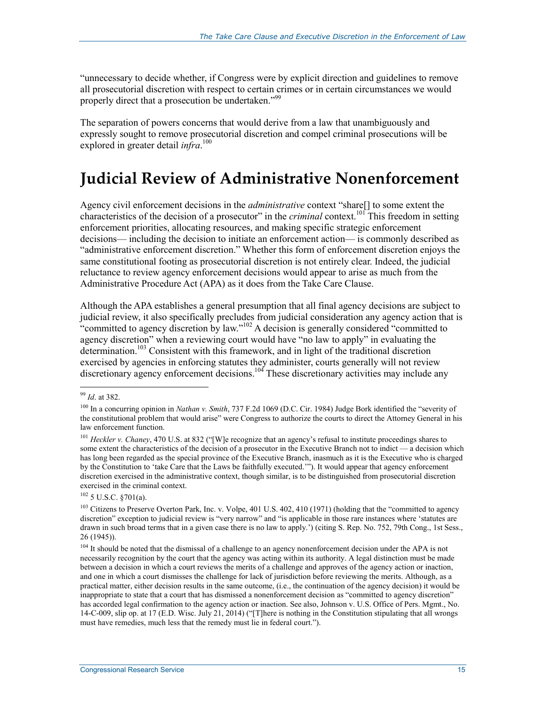"unnecessary to decide whether, if Congress were by explicit direction and guidelines to remove all prosecutorial discretion with respect to certain crimes or in certain circumstances we would properly direct that a prosecution be undertaken."<sup>99</sup>

The separation of powers concerns that would derive from a law that unambiguously and expressly sought to remove prosecutorial discretion and compel criminal prosecutions will be explored in greater detail *infra*. 100

### **Judicial Review of Administrative Nonenforcement**

Agency civil enforcement decisions in the *administrative* context "share[] to some extent the characteristics of the decision of a prosecutor" in the *criminal* context.101 This freedom in setting enforcement priorities, allocating resources, and making specific strategic enforcement decisions— including the decision to initiate an enforcement action— is commonly described as "administrative enforcement discretion." Whether this form of enforcement discretion enjoys the same constitutional footing as prosecutorial discretion is not entirely clear. Indeed, the judicial reluctance to review agency enforcement decisions would appear to arise as much from the Administrative Procedure Act (APA) as it does from the Take Care Clause.

Although the APA establishes a general presumption that all final agency decisions are subject to judicial review, it also specifically precludes from judicial consideration any agency action that is "committed to agency discretion by law."102 A decision is generally considered "committed to agency discretion" when a reviewing court would have "no law to apply" in evaluating the determination.<sup>103</sup> Consistent with this framework, and in light of the traditional discretion exercised by agencies in enforcing statutes they administer, courts generally will not review discretionary agency enforcement decisions.<sup>104</sup> These discretionary activities may include any

1

 $102$  5 U.S.C. §701(a).

<sup>99</sup> *Id*. at 382.

<sup>&</sup>lt;sup>100</sup> In a concurring opinion in *Nathan v. Smith*, 737 F.2d 1069 (D.C. Cir. 1984) Judge Bork identified the "severity of the constitutional problem that would arise" were Congress to authorize the courts to direct the Attorney General in his law enforcement function.

<sup>&</sup>lt;sup>101</sup> *Heckler v. Chaney*, 470 U.S. at 832 ("[W]e recognize that an agency's refusal to institute proceedings shares to some extent the characteristics of the decision of a prosecutor in the Executive Branch not to indict — a decision which has long been regarded as the special province of the Executive Branch, inasmuch as it is the Executive who is charged by the Constitution to 'take Care that the Laws be faithfully executed.'"). It would appear that agency enforcement discretion exercised in the administrative context, though similar, is to be distinguished from prosecutorial discretion exercised in the criminal context.

<sup>&</sup>lt;sup>103</sup> Citizens to Preserve Overton Park, Inc. v. Volpe, 401 U.S. 402, 410 (1971) (holding that the "committed to agency discretion" exception to judicial review is "very narrow" and "is applicable in those rare instances where 'statutes are drawn in such broad terms that in a given case there is no law to apply.') (citing S. Rep. No. 752, 79th Cong., 1st Sess., 26 (1945)).

<sup>&</sup>lt;sup>104</sup> It should be noted that the dismissal of a challenge to an agency nonenforcement decision under the APA is not necessarily recognition by the court that the agency was acting within its authority. A legal distinction must be made between a decision in which a court reviews the merits of a challenge and approves of the agency action or inaction, and one in which a court dismisses the challenge for lack of jurisdiction before reviewing the merits. Although, as a practical matter, either decision results in the same outcome, (i.e., the continuation of the agency decision) it would be inappropriate to state that a court that has dismissed a nonenforcement decision as "committed to agency discretion" has accorded legal confirmation to the agency action or inaction. See also, Johnson v. U.S. Office of Pers. Mgmt., No. 14-C-009, slip op. at 17 (E.D. Wisc. July 21, 2014) ("[T]here is nothing in the Constitution stipulating that all wrongs must have remedies, much less that the remedy must lie in federal court.").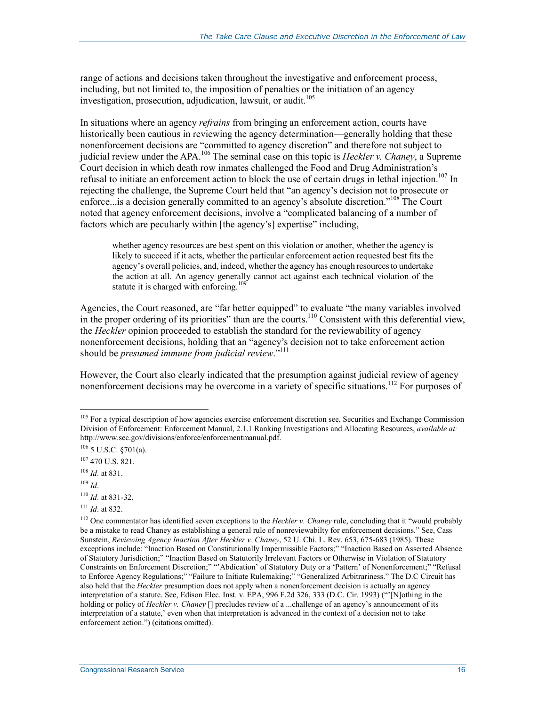range of actions and decisions taken throughout the investigative and enforcement process, including, but not limited to, the imposition of penalties or the initiation of an agency investigation, prosecution, adjudication, lawsuit, or audit.<sup>105</sup>

In situations where an agency *refrains* from bringing an enforcement action, courts have historically been cautious in reviewing the agency determination—generally holding that these nonenforcement decisions are "committed to agency discretion" and therefore not subject to judicial review under the APA.106 The seminal case on this topic is *Heckler v. Chaney*, a Supreme Court decision in which death row inmates challenged the Food and Drug Administration's refusal to initiate an enforcement action to block the use of certain drugs in lethal injection.<sup>107</sup> In rejecting the challenge, the Supreme Court held that "an agency's decision not to prosecute or enforce...is a decision generally committed to an agency's absolute discretion."<sup>108</sup> The Court noted that agency enforcement decisions, involve a "complicated balancing of a number of factors which are peculiarly within [the agency's] expertise" including,

whether agency resources are best spent on this violation or another, whether the agency is likely to succeed if it acts, whether the particular enforcement action requested best fits the agency's overall policies, and, indeed, whether the agency has enough resources to undertake the action at all. An agency generally cannot act against each technical violation of the statute it is charged with enforcing.<sup>109</sup>

Agencies, the Court reasoned, are "far better equipped" to evaluate "the many variables involved in the proper ordering of its priorities" than are the courts.<sup>110</sup> Consistent with this deferential view, the *Heckler* opinion proceeded to establish the standard for the reviewability of agency nonenforcement decisions, holding that an "agency's decision not to take enforcement action should be *presumed immune from judicial review*.<sup>"111</sup>

However, the Court also clearly indicated that the presumption against judicial review of agency nonenforcement decisions may be overcome in a variety of specific situations.<sup>112</sup> For purposes of

<u>.</u>

<sup>111</sup> *Id*. at 832.

<sup>&</sup>lt;sup>105</sup> For a typical description of how agencies exercise enforcement discretion see, Securities and Exchange Commission Division of Enforcement: Enforcement Manual, 2.1.1 Ranking Investigations and Allocating Resources, *available at:* http://www.sec.gov/divisions/enforce/enforcementmanual.pdf.

<sup>106 5</sup> U.S.C. §701(a).

<sup>107 470</sup> U.S. 821.

<sup>108</sup> *Id*. at 831.

<sup>109</sup> *Id*.

<sup>110</sup> *Id*. at 831-32.

<sup>&</sup>lt;sup>112</sup> One commentator has identified seven exceptions to the *Heckler v. Chaney* rule, concluding that it "would probably be a mistake to read Chaney as establishing a general rule of nonreviewabilty for enforcement decisions." See, Cass Sunstein, *Reviewing Agency Inaction After Heckler v. Chaney*, 52 U. Chi. L. Rev. 653, 675-683 (1985). These exceptions include: "Inaction Based on Constitutionally Impermissible Factors;" "Inaction Based on Asserted Absence of Statutory Jurisdiction;" "Inaction Based on Statutorily Irrelevant Factors or Otherwise in Violation of Statutory Constraints on Enforcement Discretion;" "'Abdication' of Statutory Duty or a 'Pattern' of Nonenforcement;" "Refusal to Enforce Agency Regulations;" "Failure to Initiate Rulemaking;" "Generalized Arbitrariness." The D.C Circuit has also held that the *Heckler* presumption does not apply when a nonenforcement decision is actually an agency interpretation of a statute. See, Edison Elec. Inst. v. EPA, 996 F.2d 326, 333 (D.C. Cir. 1993) ("'[N]othing in the holding or policy of *Heckler v. Chaney* [] precludes review of a ...challenge of an agency's announcement of its interpretation of a statute,' even when that interpretation is advanced in the context of a decision not to take enforcement action.") (citations omitted).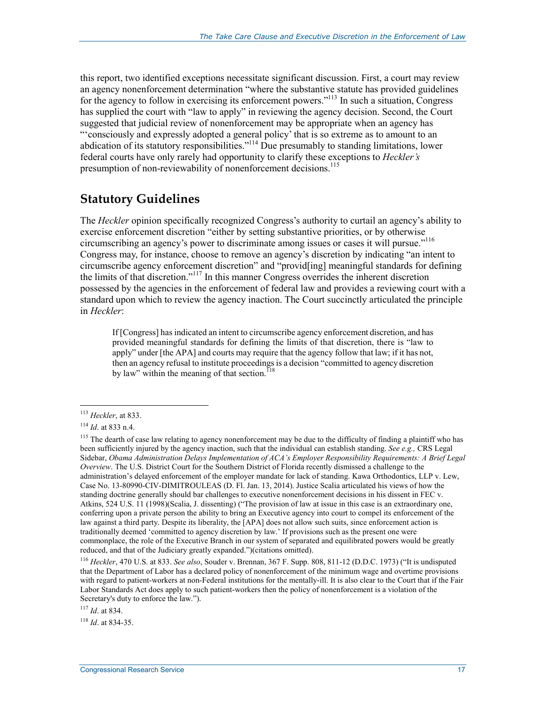this report, two identified exceptions necessitate significant discussion. First, a court may review an agency nonenforcement determination "where the substantive statute has provided guidelines for the agency to follow in exercising its enforcement powers."<sup>113</sup> In such a situation, Congress has supplied the court with "law to apply" in reviewing the agency decision. Second, the Court suggested that judicial review of nonenforcement may be appropriate when an agency has "'consciously and expressly adopted a general policy' that is so extreme as to amount to an abdication of its statutory responsibilities."<sup>114</sup> Due presumably to standing limitations, lower federal courts have only rarely had opportunity to clarify these exceptions to *Heckler's*  presumption of non-reviewability of nonenforcement decisions.<sup>115</sup>

#### **Statutory Guidelines**

The *Heckler* opinion specifically recognized Congress's authority to curtail an agency's ability to exercise enforcement discretion "either by setting substantive priorities, or by otherwise circumscribing an agency's power to discriminate among issues or cases it will pursue."116 Congress may, for instance, choose to remove an agency's discretion by indicating "an intent to circumscribe agency enforcement discretion" and "provid[ing] meaningful standards for defining the limits of that discretion."117 In this manner Congress overrides the inherent discretion possessed by the agencies in the enforcement of federal law and provides a reviewing court with a standard upon which to review the agency inaction. The Court succinctly articulated the principle in *Heckler*:

If [Congress] has indicated an intent to circumscribe agency enforcement discretion, and has provided meaningful standards for defining the limits of that discretion, there is "law to apply" under [the APA] and courts may require that the agency follow that law; if it has not, then an agency refusal to institute proceedings is a decision "committed to agency discretion by law" within the meaning of that section.<sup>1</sup>

1

<sup>118</sup> *Id*. at 834-35.

<sup>113</sup> *Heckler*, at 833.

<sup>114</sup> *Id*. at 833 n.4.

<sup>&</sup>lt;sup>115</sup> The dearth of case law relating to agency nonenforcement may be due to the difficulty of finding a plaintiff who has been sufficiently injured by the agency inaction, such that the individual can establish standing. *See e.g.,* CRS Legal Sidebar, *Obama Administration Delays Implementation of ACA's Employer Responsibility Requirements: A Brief Legal Overview*. The U.S. District Court for the Southern District of Florida recently dismissed a challenge to the administration's delayed enforcement of the employer mandate for lack of standing. Kawa Orthodontics, LLP v. Lew, Case No. 13-80990-CIV-DIMITROULEAS (D. Fl. Jan. 13, 2014). Justice Scalia articulated his views of how the standing doctrine generally should bar challenges to executive nonenforcement decisions in his dissent in FEC v. Atkins, 524 U.S. 11 (1998)(Scalia, J. dissenting) ("The provision of law at issue in this case is an extraordinary one, conferring upon a private person the ability to bring an Executive agency into court to compel its enforcement of the law against a third party. Despite its liberality, the [APA] does not allow such suits, since enforcement action is traditionally deemed 'committed to agency discretion by law.' If provisions such as the present one were commonplace, the role of the Executive Branch in our system of separated and equilibrated powers would be greatly reduced, and that of the Judiciary greatly expanded.")(citations omitted).

<sup>116</sup> *Heckler*, 470 U.S. at 833. *See also*, Souder v. Brennan, 367 F. Supp. 808, 811-12 (D.D.C. 1973) ("It is undisputed that the Department of Labor has a declared policy of nonenforcement of the minimum wage and overtime provisions with regard to patient-workers at non-Federal institutions for the mentally-ill. It is also clear to the Court that if the Fair Labor Standards Act does apply to such patient-workers then the policy of nonenforcement is a violation of the Secretary's duty to enforce the law.").

<sup>117</sup> *Id*. at 834.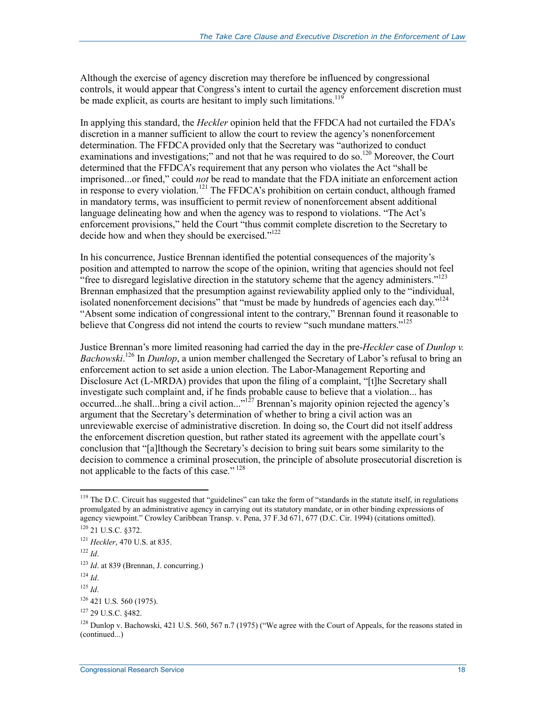Although the exercise of agency discretion may therefore be influenced by congressional controls, it would appear that Congress's intent to curtail the agency enforcement discretion must be made explicit, as courts are hesitant to imply such limitations.<sup>119</sup>

In applying this standard, the *Heckler* opinion held that the FFDCA had not curtailed the FDA's discretion in a manner sufficient to allow the court to review the agency's nonenforcement determination. The FFDCA provided only that the Secretary was "authorized to conduct examinations and investigations;" and not that he was required to do so.<sup>120</sup> Moreover, the Court determined that the FFDCA's requirement that any person who violates the Act "shall be imprisoned...or fined," could *not* be read to mandate that the FDA initiate an enforcement action in response to every violation.<sup>121</sup> The FFDCA's prohibition on certain conduct, although framed in mandatory terms, was insufficient to permit review of nonenforcement absent additional language delineating how and when the agency was to respond to violations. "The Act's enforcement provisions," held the Court "thus commit complete discretion to the Secretary to decide how and when they should be exercised."<sup>122</sup>

In his concurrence, Justice Brennan identified the potential consequences of the majority's position and attempted to narrow the scope of the opinion, writing that agencies should not feel "free to disregard legislative direction in the statutory scheme that the agency administers."<sup>123</sup> Brennan emphasized that the presumption against reviewability applied only to the "individual, isolated nonenforcement decisions" that "must be made by hundreds of agencies each day."<sup>124</sup> "Absent some indication of congressional intent to the contrary," Brennan found it reasonable to believe that Congress did not intend the courts to review "such mundane matters."<sup>125</sup>

Justice Brennan's more limited reasoning had carried the day in the pre-*Heckler* case of *Dunlop v.*  Bachowski.<sup>126</sup> In *Dunlop*, a union member challenged the Secretary of Labor's refusal to bring an enforcement action to set aside a union election. The Labor-Management Reporting and Disclosure Act (L-MRDA) provides that upon the filing of a complaint, "[t]he Secretary shall investigate such complaint and, if he finds probable cause to believe that a violation... has occurred...he shall...bring a civil action..."<sup>127</sup> Brennan's majority opinion rejected the agency's argument that the Secretary's determination of whether to bring a civil action was an unreviewable exercise of administrative discretion. In doing so, the Court did not itself address the enforcement discretion question, but rather stated its agreement with the appellate court's conclusion that "[a]lthough the Secretary's decision to bring suit bears some similarity to the decision to commence a criminal prosecution, the principle of absolute prosecutorial discretion is not applicable to the facts of this case." 128

 $119$  The D.C. Circuit has suggested that "guidelines" can take the form of "standards in the statute itself, in regulations promulgated by an administrative agency in carrying out its statutory mandate, or in other binding expressions of agency viewpoint." Crowley Caribbean Transp. v. Pena, 37 F.3d 671, 677 (D.C. Cir. 1994) (citations omitted).

<sup>120 21</sup> U.S.C. §372.

<sup>121</sup> *Heckler*, 470 U.S. at 835.

<sup>122</sup> *Id*.

<sup>123</sup> *Id*. at 839 (Brennan, J. concurring.)

<sup>124</sup> *Id*.

<sup>125</sup> *Id*.

<sup>126 421</sup> U.S. 560 (1975).

<sup>127 29</sup> U.S.C. §482.

<sup>&</sup>lt;sup>128</sup> Dunlop v. Bachowski, 421 U.S. 560, 567 n.7 (1975) ("We agree with the Court of Appeals, for the reasons stated in (continued...)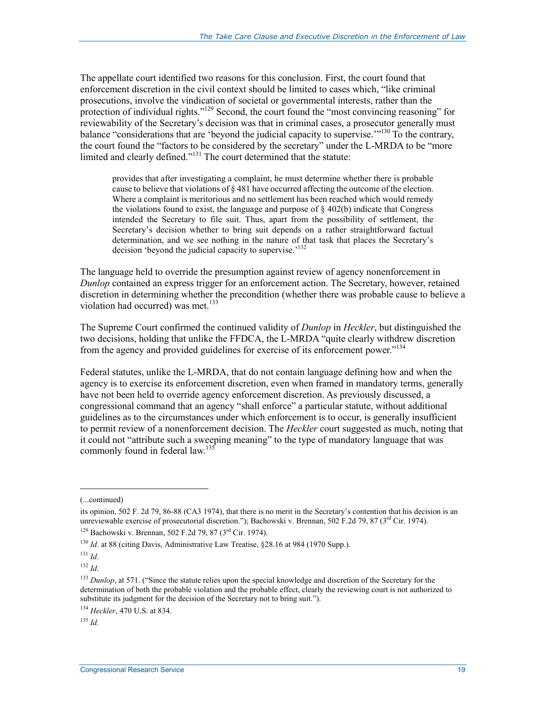The appellate court identified two reasons for this conclusion. First, the court found that enforcement discretion in the civil context should be limited to cases which, "like criminal prosecutions, involve the vindication of societal or governmental interests, rather than the protection of individual rights."<sup>129</sup> Second, the court found the "most convincing reasoning" for reviewability of the Secretary's decision was that in criminal cases, a prosecutor generally must balance "considerations that are 'beyond the judicial capacity to supervise."<sup>130</sup> To the contrary, the court found the "factors to be considered by the secretary" under the L-MRDA to be "more limited and clearly defined."131 The court determined that the statute:

provides that after investigating a complaint, he must determine whether there is probable cause to believe that violations of  $\S 481$  have occurred affecting the outcome of the election. Where a complaint is meritorious and no settlement has been reached which would remedy the violations found to exist, the language and purpose of  $\S$  402(b) indicate that Congress intended the Secretary to file suit. Thus, apart from the possibility of settlement, the Secretary's decision whether to bring suit depends on a rather straightforward factual determination, and we see nothing in the nature of that task that places the Secretary's decision 'beyond the judicial capacity to supervise.<sup>'132</sup>

The language held to override the presumption against review of agency nonenforcement in *Dunlop* contained an express trigger for an enforcement action. The Secretary, however, retained discretion in determining whether the precondition (whether there was probable cause to believe a violation had occurred) was met. $133$ 

The Supreme Court confirmed the continued validity of *Dunlop* in *Heckler*, but distinguished the two decisions, holding that unlike the FFDCA, the L-MRDA "quite clearly withdrew discretion from the agency and provided guidelines for exercise of its enforcement power."<sup>134</sup>

Federal statutes, unlike the L-MRDA, that do not contain language defining how and when the agency is to exercise its enforcement discretion, even when framed in mandatory terms, generally have not been held to override agency enforcement discretion. As previously discussed, a congressional command that an agency "shall enforce" a particular statute, without additional guidelines as to the circumstances under which enforcement is to occur, is generally insufficient to permit review of a nonenforcement decision. The *Heckler* court suggested as much, noting that it could not "attribute such a sweeping meaning" to the type of mandatory language that was commonly found in federal law.<sup>135</sup>

<sup>(...</sup>continued)

its opinion, 502 F. 2d 79, 86-88 (CA3 1974), that there is no merit in the Secretary's contention that his decision is an unreviewable exercise of prosecutorial discretion."); Bachowski v. Brennan, 502 F.2d 79, 87 ( $3<sup>rd</sup>$  Cir. 1974).

<sup>&</sup>lt;sup>129</sup> Bachowski v. Brennan, 502 F.2d 79, 87 ( $3<sup>rd</sup>$  Cir. 1974).

<sup>&</sup>lt;sup>130</sup> *Id.* at 88 (citing Davis, Administrative Law Treatise, §28.16 at 984 (1970 Supp.).

<sup>131</sup> *Id*.

<sup>132</sup> *Id*.

<sup>&</sup>lt;sup>133</sup> *Dunlop*, at 571. ("Since the statute relies upon the special knowledge and discretion of the Secretary for the determination of both the probable violation and the probable effect, clearly the reviewing court is not authorized to substitute its judgment for the decision of the Secretary not to bring suit.").

<sup>134</sup> *Heckler*, 470 U.S. at 834.

<sup>135</sup> *Id.*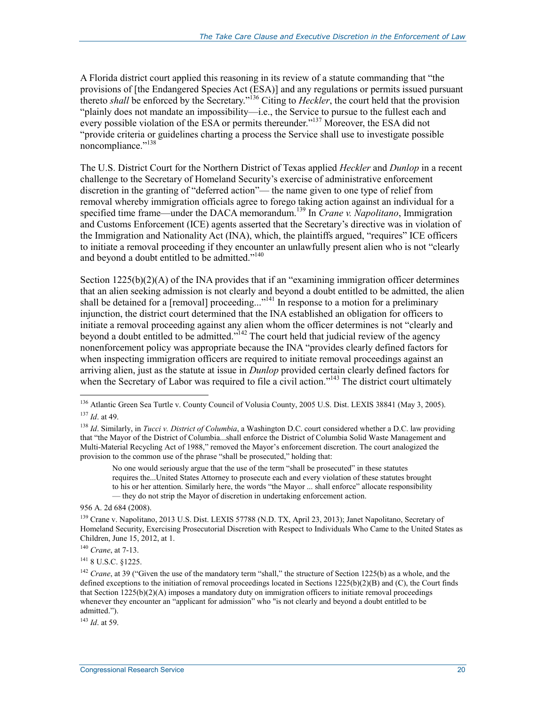A Florida district court applied this reasoning in its review of a statute commanding that "the provisions of [the Endangered Species Act (ESA)] and any regulations or permits issued pursuant thereto *shall* be enforced by the Secretary."136 Citing to *Heckler*, the court held that the provision "plainly does not mandate an impossibility—i.e., the Service to pursue to the fullest each and every possible violation of the ESA or permits thereunder."<sup>137</sup> Moreover, the ESA did not "provide criteria or guidelines charting a process the Service shall use to investigate possible noncompliance."<sup>138</sup>

The U.S. District Court for the Northern District of Texas applied *Heckler* and *Dunlop* in a recent challenge to the Secretary of Homeland Security's exercise of administrative enforcement discretion in the granting of "deferred action"— the name given to one type of relief from removal whereby immigration officials agree to forego taking action against an individual for a specified time frame—under the DACA memorandum.139 In *Crane v. Napolitano*, Immigration and Customs Enforcement (ICE) agents asserted that the Secretary's directive was in violation of the Immigration and Nationality Act (INA), which, the plaintiffs argued, "requires" ICE officers to initiate a removal proceeding if they encounter an unlawfully present alien who is not "clearly and beyond a doubt entitled to be admitted."<sup>140</sup>

Section  $1225(b)(2)(A)$  of the INA provides that if an "examining immigration officer determines" that an alien seeking admission is not clearly and beyond a doubt entitled to be admitted, the alien shall be detained for a [removal] proceeding...<sup>"141</sup> In response to a motion for a preliminary injunction, the district court determined that the INA established an obligation for officers to initiate a removal proceeding against any alien whom the officer determines is not "clearly and beyond a doubt entitled to be admitted."<sup>142</sup> The court held that judicial review of the agency nonenforcement policy was appropriate because the INA "provides clearly defined factors for when inspecting immigration officers are required to initiate removal proceedings against an arriving alien, just as the statute at issue in *Dunlop* provided certain clearly defined factors for when the Secretary of Labor was required to file a civil action."<sup>143</sup> The district court ultimately

1

141 8 U.S.C. §1225.

<sup>143</sup> *Id*. at 59.

<sup>&</sup>lt;sup>136</sup> Atlantic Green Sea Turtle v. County Council of Volusia County, 2005 U.S. Dist. LEXIS 38841 (May 3, 2005). <sup>137</sup> *Id*. at 49.

<sup>138</sup> *Id*. Similarly, in *Tucci v. District of Columbia*, a Washington D.C. court considered whether a D.C. law providing that "the Mayor of the District of Columbia...shall enforce the District of Columbia Solid Waste Management and Multi-Material Recycling Act of 1988," removed the Mayor's enforcement discretion. The court analogized the provision to the common use of the phrase "shall be prosecuted," holding that:

No one would seriously argue that the use of the term "shall be prosecuted" in these statutes requires the...United States Attorney to prosecute each and every violation of these statutes brought to his or her attention. Similarly here, the words "the Mayor ... shall enforce" allocate responsibility — they do not strip the Mayor of discretion in undertaking enforcement action.

<sup>956</sup> A. 2d 684 (2008).

<sup>&</sup>lt;sup>139</sup> Crane v. Napolitano, 2013 U.S. Dist. LEXIS 57788 (N.D. TX, April 23, 2013); Janet Napolitano, Secretary of Homeland Security, Exercising Prosecutorial Discretion with Respect to Individuals Who Came to the United States as Children, June 15, 2012, at 1.

<sup>140</sup> *Crane*, at 7-13.

<sup>&</sup>lt;sup>142</sup> *Crane*, at 39 ("Given the use of the mandatory term "shall," the structure of Section 1225(b) as a whole, and the defined exceptions to the initiation of removal proceedings located in Sections 1225(b)(2)(B) and (C), the Court finds that Section 1225(b)(2)(A) imposes a mandatory duty on immigration officers to initiate removal proceedings whenever they encounter an "applicant for admission" who "is not clearly and beyond a doubt entitled to be admitted.").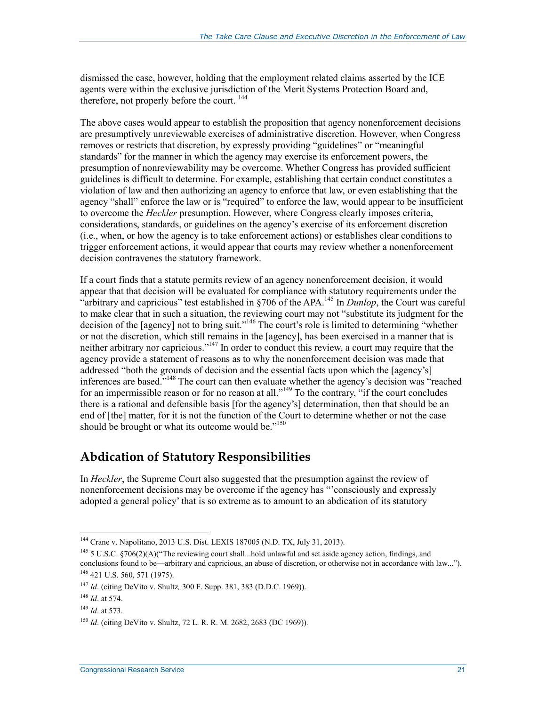dismissed the case, however, holding that the employment related claims asserted by the ICE agents were within the exclusive jurisdiction of the Merit Systems Protection Board and, therefore, not properly before the court.  $^{144}$ 

The above cases would appear to establish the proposition that agency nonenforcement decisions are presumptively unreviewable exercises of administrative discretion. However, when Congress removes or restricts that discretion, by expressly providing "guidelines" or "meaningful standards" for the manner in which the agency may exercise its enforcement powers, the presumption of nonreviewability may be overcome. Whether Congress has provided sufficient guidelines is difficult to determine. For example, establishing that certain conduct constitutes a violation of law and then authorizing an agency to enforce that law, or even establishing that the agency "shall" enforce the law or is "required" to enforce the law, would appear to be insufficient to overcome the *Heckler* presumption. However, where Congress clearly imposes criteria, considerations, standards, or guidelines on the agency's exercise of its enforcement discretion (i.e., when, or how the agency is to take enforcement actions) or establishes clear conditions to trigger enforcement actions, it would appear that courts may review whether a nonenforcement decision contravenes the statutory framework.

If a court finds that a statute permits review of an agency nonenforcement decision, it would appear that that decision will be evaluated for compliance with statutory requirements under the "arbitrary and capricious" test established in §706 of the APA.<sup>145</sup> In *Dunlop*, the Court was careful to make clear that in such a situation, the reviewing court may not "substitute its judgment for the decision of the [agency] not to bring suit."146 The court's role is limited to determining "whether or not the discretion, which still remains in the [agency], has been exercised in a manner that is neither arbitrary nor capricious."<sup>147</sup> In order to conduct this review, a court may require that the agency provide a statement of reasons as to why the nonenforcement decision was made that addressed "both the grounds of decision and the essential facts upon which the [agency's] inferences are based."148 The court can then evaluate whether the agency's decision was "reached for an impermissible reason or for no reason at all."<sup>149</sup> To the contrary, "if the court concludes there is a rational and defensible basis [for the agency's] determination, then that should be an end of [the] matter, for it is not the function of the Court to determine whether or not the case should be brought or what its outcome would be."<sup>150</sup>

#### **Abdication of Statutory Responsibilities**

In *Heckler*, the Supreme Court also suggested that the presumption against the review of nonenforcement decisions may be overcome if the agency has "'consciously and expressly adopted a general policy' that is so extreme as to amount to an abdication of its statutory

<sup>144</sup> Crane v. Napolitano, 2013 U.S. Dist. LEXIS 187005 (N.D. TX, July 31, 2013).

<sup>145 5</sup> U.S.C. §706(2)(A)("The reviewing court shall...hold unlawful and set aside agency action, findings, and conclusions found to be—arbitrary and capricious, an abuse of discretion, or otherwise not in accordance with law..."). 146 421 U.S. 560, 571 (1975).

<sup>147</sup> *Id*. (citing DeVito v. Shultz*,* 300 F. Supp. 381, 383 (D.D.C. 1969)).

<sup>148</sup> *Id*. at 574.

<sup>149</sup> *Id*. at 573.

<sup>150</sup> *Id*. (citing DeVito v. Shultz, 72 L. R. R. M. 2682, 2683 (DC 1969)).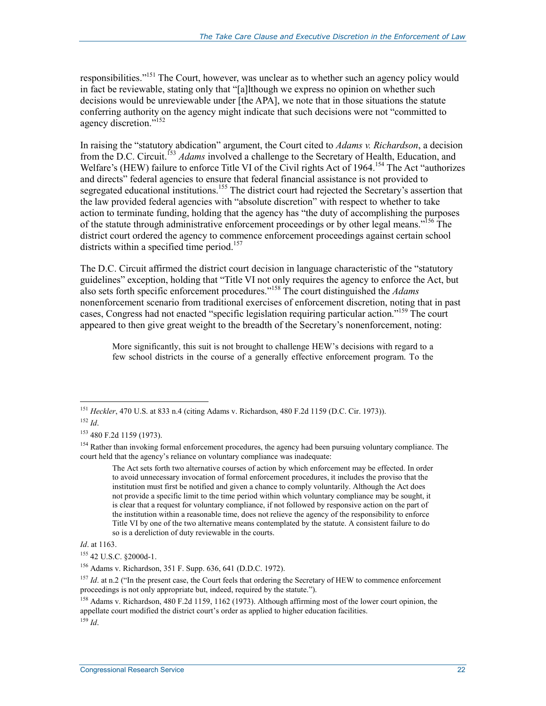responsibilities."<sup>151</sup> The Court, however, was unclear as to whether such an agency policy would in fact be reviewable, stating only that "[a]lthough we express no opinion on whether such decisions would be unreviewable under [the APA], we note that in those situations the statute conferring authority on the agency might indicate that such decisions were not "committed to agency discretion."<sup>152</sup>

In raising the "statutory abdication" argument, the Court cited to *Adams v. Richardson*, a decision from the D.C. Circuit.<sup>153</sup> *Adams* involved a challenge to the Secretary of Health, Education, and Welfare's (HEW) failure to enforce Title VI of the Civil rights Act of 1964.<sup>154</sup> The Act "authorizes" and directs" federal agencies to ensure that federal financial assistance is not provided to segregated educational institutions.<sup>155</sup> The district court had rejected the Secretary's assertion that the law provided federal agencies with "absolute discretion" with respect to whether to take action to terminate funding, holding that the agency has "the duty of accomplishing the purposes of the statute through administrative enforcement proceedings or by other legal means.<sup>7156</sup> The district court ordered the agency to commence enforcement proceedings against certain school districts within a specified time period.<sup>157</sup>

The D.C. Circuit affirmed the district court decision in language characteristic of the "statutory guidelines" exception, holding that "Title VI not only requires the agency to enforce the Act, but also sets forth specific enforcement procedures."158 The court distinguished the *Adams* nonenforcement scenario from traditional exercises of enforcement discretion, noting that in past cases, Congress had not enacted "specific legislation requiring particular action."159 The court appeared to then give great weight to the breadth of the Secretary's nonenforcement, noting:

More significantly, this suit is not brought to challenge HEW's decisions with regard to a few school districts in the course of a generally effective enforcement program. To the

The Act sets forth two alternative courses of action by which enforcement may be effected. In order to avoid unnecessary invocation of formal enforcement procedures, it includes the proviso that the institution must first be notified and given a chance to comply voluntarily. Although the Act does not provide a specific limit to the time period within which voluntary compliance may be sought, it is clear that a request for voluntary compliance, if not followed by responsive action on the part of the institution within a reasonable time, does not relieve the agency of the responsibility to enforce Title VI by one of the two alternative means contemplated by the statute. A consistent failure to do so is a dereliction of duty reviewable in the courts.

<sup>159</sup> *Id*.

<sup>&</sup>lt;u>.</u> <sup>151</sup> *Heckler*, 470 U.S. at 833 n.4 (citing Adams v. Richardson, 480 F.2d 1159 (D.C. Cir. 1973)).

<sup>152</sup> *Id*.

<sup>153 480</sup> F.2d 1159 (1973).

<sup>&</sup>lt;sup>154</sup> Rather than invoking formal enforcement procedures, the agency had been pursuing voluntary compliance. The court held that the agency's reliance on voluntary compliance was inadequate:

*Id*. at 1163.

<sup>155 42</sup> U.S.C. §2000d-1.

<sup>156</sup> Adams v. Richardson, 351 F. Supp. 636, 641 (D.D.C. 1972).

<sup>&</sup>lt;sup>157</sup> *Id.* at n.2 ("In the present case, the Court feels that ordering the Secretary of HEW to commence enforcement proceedings is not only appropriate but, indeed, required by the statute.").

<sup>158</sup> Adams v. Richardson, 480 F.2d 1159, 1162 (1973). Although affirming most of the lower court opinion, the appellate court modified the district court's order as applied to higher education facilities.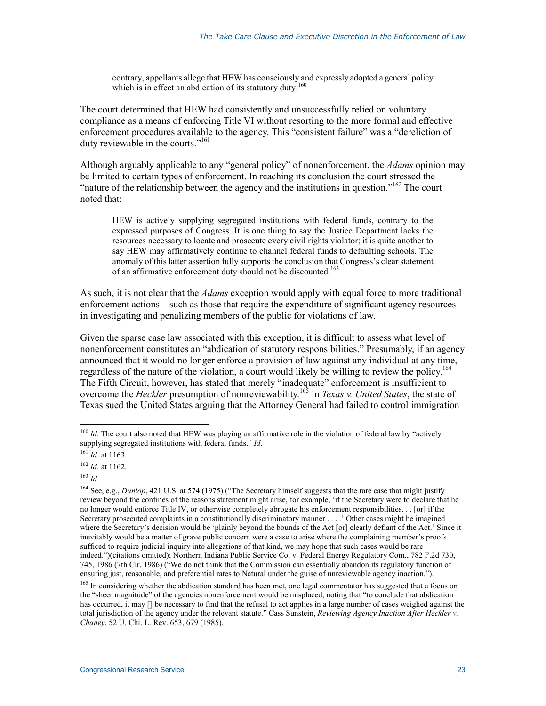contrary, appellants allege that HEW has consciously and expressly adopted a general policy which is in effect an abdication of its statutory duty.<sup>160</sup>

The court determined that HEW had consistently and unsuccessfully relied on voluntary compliance as a means of enforcing Title VI without resorting to the more formal and effective enforcement procedures available to the agency. This "consistent failure" was a "dereliction of duty reviewable in the courts."<sup>161</sup>

Although arguably applicable to any "general policy" of nonenforcement, the *Adams* opinion may be limited to certain types of enforcement. In reaching its conclusion the court stressed the "nature of the relationship between the agency and the institutions in question."<sup>162</sup> The court noted that:

HEW is actively supplying segregated institutions with federal funds, contrary to the expressed purposes of Congress. It is one thing to say the Justice Department lacks the resources necessary to locate and prosecute every civil rights violator; it is quite another to say HEW may affirmatively continue to channel federal funds to defaulting schools. The anomaly of this latter assertion fully supports the conclusion that Congress's clear statement of an affirmative enforcement duty should not be discounted.<sup>163</sup>

As such, it is not clear that the *Adams* exception would apply with equal force to more traditional enforcement actions—such as those that require the expenditure of significant agency resources in investigating and penalizing members of the public for violations of law.

Given the sparse case law associated with this exception, it is difficult to assess what level of nonenforcement constitutes an "abdication of statutory responsibilities." Presumably, if an agency announced that it would no longer enforce a provision of law against any individual at any time, regardless of the nature of the violation, a court would likely be willing to review the policy.<sup>164</sup> The Fifth Circuit, however, has stated that merely "inadequate" enforcement is insufficient to overcome the *Heckler* presumption of nonreviewability.165 In *Texas v. United States*, the state of Texas sued the United States arguing that the Attorney General had failed to control immigration

<sup>1</sup> <sup>160</sup> *Id*. The court also noted that HEW was playing an affirmative role in the violation of federal law by "actively supplying segregated institutions with federal funds." *Id*.

<sup>161</sup> *Id*. at 1163.

<sup>162</sup> *Id*. at 1162.

<sup>163</sup> *Id*.

<sup>&</sup>lt;sup>164</sup> See, e.g., *Dunlop*, 421 U.S. at 574 (1975) ("The Secretary himself suggests that the rare case that might justify review beyond the confines of the reasons statement might arise, for example, 'if the Secretary were to declare that he no longer would enforce Title IV, or otherwise completely abrogate his enforcement responsibilities. . . [or] if the Secretary prosecuted complaints in a constitutionally discriminatory manner . . . .' Other cases might be imagined where the Secretary's decision would be 'plainly beyond the bounds of the Act [or] clearly defiant of the Act.' Since it inevitably would be a matter of grave public concern were a case to arise where the complaining member's proofs sufficed to require judicial inquiry into allegations of that kind, we may hope that such cases would be rare indeed.")(citations omitted); Northern Indiana Public Service Co. v. Federal Energy Regulatory Com., 782 F.2d 730, 745, 1986 (7th Cir. 1986) ("We do not think that the Commission can essentially abandon its regulatory function of ensuring just, reasonable, and preferential rates to Natural under the guise of unreviewable agency inaction.").

<sup>&</sup>lt;sup>165</sup> In considering whether the abdication standard has been met, one legal commentator has suggested that a focus on the "sheer magnitude" of the agencies nonenforcement would be misplaced, noting that "to conclude that abdication has occurred, it may  $\lceil \cdot \rceil$  be necessary to find that the refusal to act applies in a large number of cases weighed against the total jurisdiction of the agency under the relevant statute." Cass Sunstein, *Reviewing Agency Inaction After Heckler v. Chaney*, 52 U. Chi. L. Rev. 653, 679 (1985).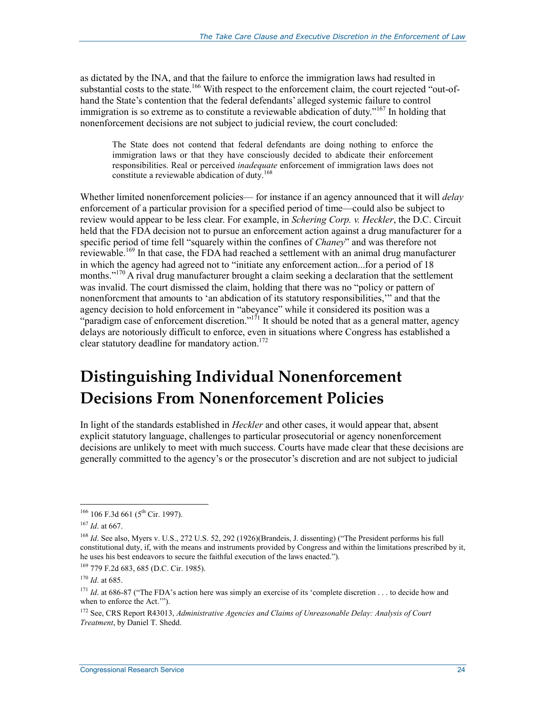as dictated by the INA, and that the failure to enforce the immigration laws had resulted in substantial costs to the state.<sup>166</sup> With respect to the enforcement claim, the court rejected "out-ofhand the State's contention that the federal defendants' alleged systemic failure to control immigration is so extreme as to constitute a reviewable abdication of duty."<sup>167</sup> In holding that nonenforcement decisions are not subject to judicial review, the court concluded:

The State does not contend that federal defendants are doing nothing to enforce the immigration laws or that they have consciously decided to abdicate their enforcement responsibilities. Real or perceived *inadequate* enforcement of immigration laws does not constitute a reviewable abdication of duty.<sup>168</sup>

Whether limited nonenforcement policies— for instance if an agency announced that it will *delay* enforcement of a particular provision for a specified period of time—could also be subject to review would appear to be less clear. For example, in *Schering Corp. v. Heckler*, the D.C. Circuit held that the FDA decision not to pursue an enforcement action against a drug manufacturer for a specific period of time fell "squarely within the confines of *Chaney*" and was therefore not reviewable.<sup>169</sup> In that case, the FDA had reached a settlement with an animal drug manufacturer in which the agency had agreed not to "initiate any enforcement action...for a period of 18 months."<sup>170</sup> A rival drug manufacturer brought a claim seeking a declaration that the settlement was invalid. The court dismissed the claim, holding that there was no "policy or pattern of nonenforcment that amounts to 'an abdication of its statutory responsibilities,'" and that the agency decision to hold enforcement in "abeyance" while it considered its position was a "paradigm case of enforcement discretion."<sup>171</sup> It should be noted that as a general matter, agency delays are notoriously difficult to enforce, even in situations where Congress has established a clear statutory deadline for mandatory action.<sup>172</sup>

# **Distinguishing Individual Nonenforcement Decisions From Nonenforcement Policies**

In light of the standards established in *Heckler* and other cases, it would appear that, absent explicit statutory language, challenges to particular prosecutorial or agency nonenforcement decisions are unlikely to meet with much success. Courts have made clear that these decisions are generally committed to the agency's or the prosecutor's discretion and are not subject to judicial

<u>.</u>

 $166$  106 F.3d 661 (5<sup>th</sup> Cir. 1997).

<sup>167</sup> *Id*. at 667.

<sup>168</sup> *Id*. See also, Myers v. U.S., 272 U.S. 52, 292 (1926)(Brandeis, J. dissenting) ("The President performs his full constitutional duty, if, with the means and instruments provided by Congress and within the limitations prescribed by it, he uses his best endeavors to secure the faithful execution of the laws enacted.").

<sup>169 779</sup> F.2d 683, 685 (D.C. Cir. 1985).

<sup>170</sup> *Id*. at 685.

<sup>&</sup>lt;sup>171</sup> *Id.* at 686-87 ("The FDA's action here was simply an exercise of its 'complete discretion . . . to decide how and when to enforce the Act.'").

<sup>172</sup> See, CRS Report R43013, *Administrative Agencies and Claims of Unreasonable Delay: Analysis of Court Treatment*, by Daniel T. Shedd.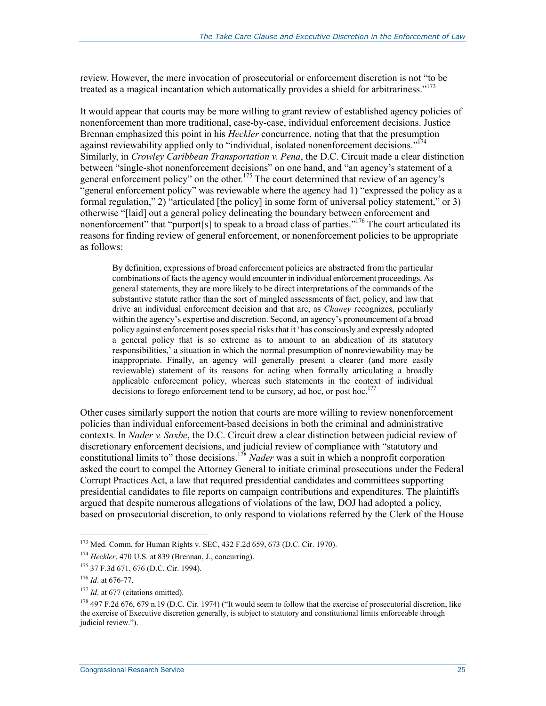review. However, the mere invocation of prosecutorial or enforcement discretion is not "to be treated as a magical incantation which automatically provides a shield for arbitrariness."<sup>173</sup>

It would appear that courts may be more willing to grant review of established agency policies of nonenforcement than more traditional, case-by-case, individual enforcement decisions. Justice Brennan emphasized this point in his *Heckler* concurrence, noting that that the presumption against reviewability applied only to "individual, isolated nonenforcement decisions."<sup>174</sup> Similarly, in *Crowley Caribbean Transportation v. Pena*, the D.C. Circuit made a clear distinction between "single-shot nonenforcement decisions" on one hand, and "an agency's statement of a general enforcement policy" on the other.<sup>175</sup> The court determined that review of an agency's "general enforcement policy" was reviewable where the agency had 1) "expressed the policy as a formal regulation," 2) "articulated [the policy] in some form of universal policy statement," or 3) otherwise "[laid] out a general policy delineating the boundary between enforcement and nonenforcement" that "purport[s] to speak to a broad class of parties."<sup>176</sup> The court articulated its reasons for finding review of general enforcement, or nonenforcement policies to be appropriate as follows:

By definition, expressions of broad enforcement policies are abstracted from the particular combinations of facts the agency would encounter in individual enforcement proceedings. As general statements, they are more likely to be direct interpretations of the commands of the substantive statute rather than the sort of mingled assessments of fact, policy, and law that drive an individual enforcement decision and that are, as *Chaney* recognizes, peculiarly within the agency's expertise and discretion. Second, an agency's pronouncement of a broad policy against enforcement poses special risks that it 'has consciously and expressly adopted a general policy that is so extreme as to amount to an abdication of its statutory responsibilities,' a situation in which the normal presumption of nonreviewability may be inappropriate. Finally, an agency will generally present a clearer (and more easily reviewable) statement of its reasons for acting when formally articulating a broadly applicable enforcement policy, whereas such statements in the context of individual decisions to forego enforcement tend to be cursory, ad hoc, or post hoc.<sup>177</sup>

Other cases similarly support the notion that courts are more willing to review nonenforcement policies than individual enforcement-based decisions in both the criminal and administrative contexts. In *Nader v. Saxbe*, the D.C. Circuit drew a clear distinction between judicial review of discretionary enforcement decisions, and judicial review of compliance with "statutory and constitutional limits to" those decisions.178 *Nader* was a suit in which a nonprofit corporation asked the court to compel the Attorney General to initiate criminal prosecutions under the Federal Corrupt Practices Act, a law that required presidential candidates and committees supporting presidential candidates to file reports on campaign contributions and expenditures. The plaintiffs argued that despite numerous allegations of violations of the law, DOJ had adopted a policy, based on prosecutorial discretion, to only respond to violations referred by the Clerk of the House

<sup>173</sup> Med. Comm. for Human Rights v. SEC, 432 F.2d 659, 673 (D.C. Cir. 1970).

<sup>174</sup> *Heckler*, 470 U.S. at 839 (Brennan, J., concurring).

<sup>175 37</sup> F.3d 671, 676 (D.C. Cir. 1994).

<sup>176</sup> *Id*. at 676-77.

<sup>&</sup>lt;sup>177</sup> *Id.* at 677 (citations omitted).

<sup>&</sup>lt;sup>178</sup> 497 F.2d 676, 679 n.19 (D.C. Cir. 1974) ("It would seem to follow that the exercise of prosecutorial discretion, like the exercise of Executive discretion generally, is subject to statutory and constitutional limits enforceable through judicial review.").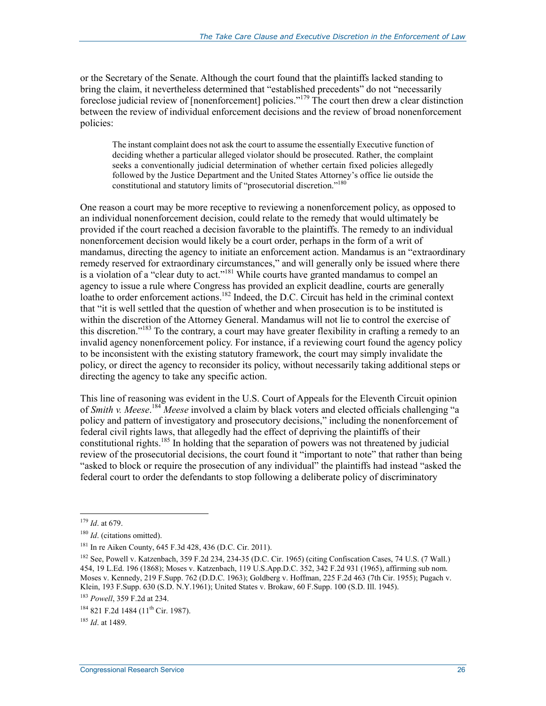or the Secretary of the Senate. Although the court found that the plaintiffs lacked standing to bring the claim, it nevertheless determined that "established precedents" do not "necessarily foreclose judicial review of [nonenforcement] policies."<sup>179</sup> The court then drew a clear distinction between the review of individual enforcement decisions and the review of broad nonenforcement policies:

The instant complaint does not ask the court to assume the essentially Executive function of deciding whether a particular alleged violator should be prosecuted. Rather, the complaint seeks a conventionally judicial determination of whether certain fixed policies allegedly followed by the Justice Department and the United States Attorney's office lie outside the constitutional and statutory limits of "prosecutorial discretion."<sup>180</sup>

One reason a court may be more receptive to reviewing a nonenforcement policy, as opposed to an individual nonenforcement decision, could relate to the remedy that would ultimately be provided if the court reached a decision favorable to the plaintiffs. The remedy to an individual nonenforcement decision would likely be a court order, perhaps in the form of a writ of mandamus, directing the agency to initiate an enforcement action. Mandamus is an "extraordinary remedy reserved for extraordinary circumstances," and will generally only be issued where there is a violation of a "clear duty to act."<sup>181</sup> While courts have granted mandamus to compel an agency to issue a rule where Congress has provided an explicit deadline, courts are generally loathe to order enforcement actions.<sup>182</sup> Indeed, the D.C. Circuit has held in the criminal context that "it is well settled that the question of whether and when prosecution is to be instituted is within the discretion of the Attorney General. Mandamus will not lie to control the exercise of this discretion.<sup>"183</sup> To the contrary, a court may have greater flexibility in crafting a remedy to an invalid agency nonenforcement policy. For instance, if a reviewing court found the agency policy to be inconsistent with the existing statutory framework, the court may simply invalidate the policy, or direct the agency to reconsider its policy, without necessarily taking additional steps or directing the agency to take any specific action.

This line of reasoning was evident in the U.S. Court of Appeals for the Eleventh Circuit opinion of *Smith v. Meese*. <sup>184</sup> *Meese* involved a claim by black voters and elected officials challenging "a policy and pattern of investigatory and prosecutory decisions," including the nonenforcement of federal civil rights laws, that allegedly had the effect of depriving the plaintiffs of their constitutional rights.<sup>185</sup> In holding that the separation of powers was not threatened by judicial review of the prosecutorial decisions, the court found it "important to note" that rather than being "asked to block or require the prosecution of any individual" the plaintiffs had instead "asked the federal court to order the defendants to stop following a deliberate policy of discriminatory

<sup>179</sup> *Id*. at 679.

<sup>&</sup>lt;sup>180</sup> *Id.* (citations omitted).

<sup>181</sup> In re Aiken County, 645 F.3d 428, 436 (D.C. Cir. 2011).

<sup>182</sup> See, Powell v. Katzenbach, 359 F.2d 234, 234-35 (D.C. Cir. 1965) (citing Confiscation Cases, 74 U.S. (7 Wall.) 454, 19 L.Ed. 196 (1868); Moses v. Katzenbach, 119 U.S.App.D.C. 352, 342 F.2d 931 (1965), affirming sub nom. Moses v. Kennedy, 219 F.Supp. 762 (D.D.C. 1963); Goldberg v. Hoffman, 225 F.2d 463 (7th Cir. 1955); Pugach v. Klein, 193 F.Supp. 630 (S.D. N.Y.1961); United States v. Brokaw, 60 F.Supp. 100 (S.D. Ill. 1945).

<sup>183</sup> *Powell*, 359 F.2d at 234.

<sup>&</sup>lt;sup>184</sup> 821 F.2d 1484 (11<sup>th</sup> Cir. 1987).

<sup>185</sup> *Id*. at 1489.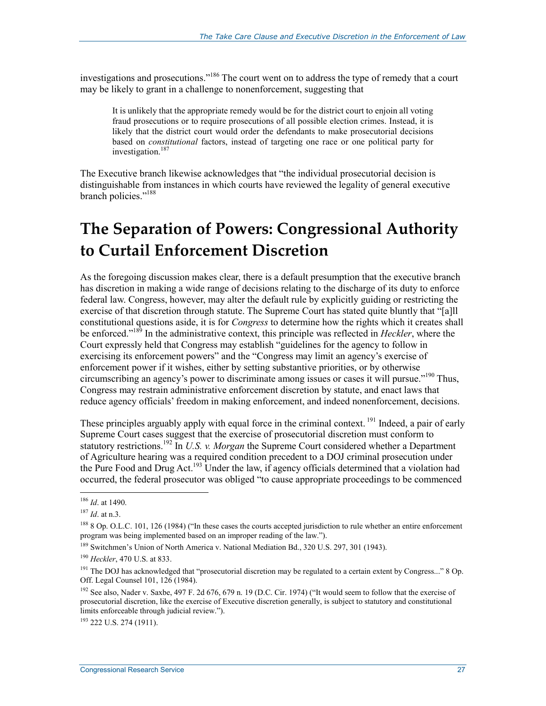investigations and prosecutions."186 The court went on to address the type of remedy that a court may be likely to grant in a challenge to nonenforcement, suggesting that

It is unlikely that the appropriate remedy would be for the district court to enjoin all voting fraud prosecutions or to require prosecutions of all possible election crimes. Instead, it is likely that the district court would order the defendants to make prosecutorial decisions based on *constitutional* factors, instead of targeting one race or one political party for investigation.<sup>187</sup>

The Executive branch likewise acknowledges that "the individual prosecutorial decision is distinguishable from instances in which courts have reviewed the legality of general executive branch policies."<sup>188</sup>

## **The Separation of Powers: Congressional Authority to Curtail Enforcement Discretion**

As the foregoing discussion makes clear, there is a default presumption that the executive branch has discretion in making a wide range of decisions relating to the discharge of its duty to enforce federal law. Congress, however, may alter the default rule by explicitly guiding or restricting the exercise of that discretion through statute. The Supreme Court has stated quite bluntly that "[a]ll constitutional questions aside, it is for *Congress* to determine how the rights which it creates shall be enforced."189 In the administrative context, this principle was reflected in *Heckler*, where the Court expressly held that Congress may establish "guidelines for the agency to follow in exercising its enforcement powers" and the "Congress may limit an agency's exercise of enforcement power if it wishes, either by setting substantive priorities, or by otherwise circumscribing an agency's power to discriminate among issues or cases it will pursue."190 Thus, Congress may restrain administrative enforcement discretion by statute, and enact laws that reduce agency officials' freedom in making enforcement, and indeed nonenforcement, decisions.

These principles arguably apply with equal force in the criminal context. <sup>191</sup> Indeed, a pair of early Supreme Court cases suggest that the exercise of prosecutorial discretion must conform to statutory restrictions.192 In *U.S. v. Morgan* the Supreme Court considered whether a Department of Agriculture hearing was a required condition precedent to a DOJ criminal prosecution under the Pure Food and Drug Act.<sup>193</sup> Under the law, if agency officials determined that a violation had occurred, the federal prosecutor was obliged "to cause appropriate proceedings to be commenced

1

193 222 U.S. 274 (1911).

<sup>186</sup> *Id*. at 1490.

<sup>187</sup> *Id*. at n.3.

<sup>&</sup>lt;sup>188</sup> 8 Op. O.L.C. 101, 126 (1984) ("In these cases the courts accepted jurisdiction to rule whether an entire enforcement program was being implemented based on an improper reading of the law.").

<sup>&</sup>lt;sup>189</sup> Switchmen's Union of North America v. National Mediation Bd., 320 U.S. 297, 301 (1943).

<sup>190</sup> *Heckler*, 470 U.S. at 833.

 $191$  The DOJ has acknowledged that "prosecutorial discretion may be regulated to a certain extent by Congress..." 8 Op. Off. Legal Counsel 101, 126 (1984).

<sup>&</sup>lt;sup>192</sup> See also, Nader v. Saxbe, 497 F. 2d 676, 679 n. 19 (D.C. Cir. 1974) ("It would seem to follow that the exercise of prosecutorial discretion, like the exercise of Executive discretion generally, is subject to statutory and constitutional limits enforceable through judicial review.").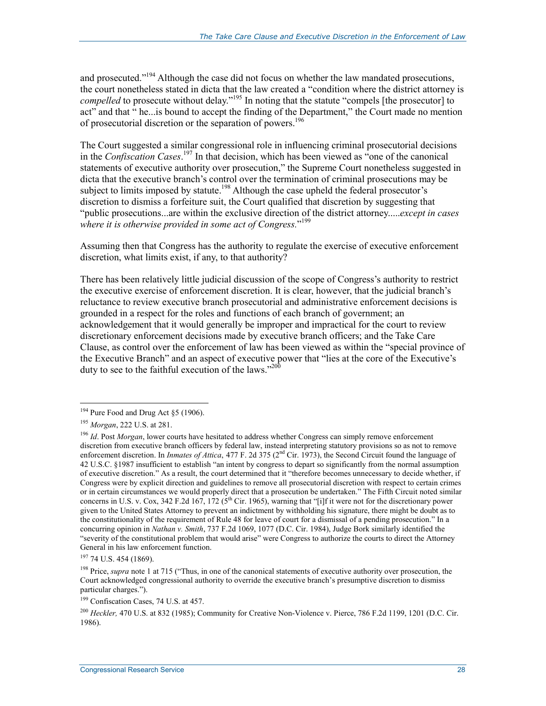and prosecuted."<sup>194</sup> Although the case did not focus on whether the law mandated prosecutions, the court nonetheless stated in dicta that the law created a "condition where the district attorney is *compelled* to prosecute without delay.<sup>"195</sup> In noting that the statute "compels [the prosecutor] to act" and that " he...is bound to accept the finding of the Department," the Court made no mention of prosecutorial discretion or the separation of powers.<sup>196</sup>

The Court suggested a similar congressional role in influencing criminal prosecutorial decisions in the *Confiscation Cases*. 197 In that decision, which has been viewed as "one of the canonical statements of executive authority over prosecution," the Supreme Court nonetheless suggested in dicta that the executive branch's control over the termination of criminal prosecutions may be subject to limits imposed by statute.<sup>198</sup> Although the case upheld the federal prosecutor's discretion to dismiss a forfeiture suit, the Court qualified that discretion by suggesting that "public prosecutions...are within the exclusive direction of the district attorney.....*except in cases*  where it is otherwise provided in some act of Congress."<sup>199</sup>

Assuming then that Congress has the authority to regulate the exercise of executive enforcement discretion, what limits exist, if any, to that authority?

There has been relatively little judicial discussion of the scope of Congress's authority to restrict the executive exercise of enforcement discretion. It is clear, however, that the judicial branch's reluctance to review executive branch prosecutorial and administrative enforcement decisions is grounded in a respect for the roles and functions of each branch of government; an acknowledgement that it would generally be improper and impractical for the court to review discretionary enforcement decisions made by executive branch officers; and the Take Care Clause, as control over the enforcement of law has been viewed as within the "special province of the Executive Branch" and an aspect of executive power that "lies at the core of the Executive's duty to see to the faithful execution of the laws."<sup>200</sup>

 $194$  Pure Food and Drug Act §5 (1906).

<sup>195</sup> *Morgan*, 222 U.S. at 281.

<sup>&</sup>lt;sup>196</sup> *Id*. Post *Morgan*, lower courts have hesitated to address whether Congress can simply remove enforcement discretion from executive branch officers by federal law, instead interpreting statutory provisions so as not to remove enforcement discretion. In *Inmates of Attica*, 477 F. 2d 375 (2<sup>nd</sup> Cir. 1973), the Second Circuit found the language of 42 U.S.C. §1987 insufficient to establish "an intent by congress to depart so significantly from the normal assumption of executive discretion." As a result, the court determined that it "therefore becomes unnecessary to decide whether, if Congress were by explicit direction and guidelines to remove all prosecutorial discretion with respect to certain crimes or in certain circumstances we would properly direct that a prosecution be undertaken." The Fifth Circuit noted similar concerns in U.S. v. Cox, 342 F.2d 167, 172 ( $5<sup>th</sup>$  Cir. 1965), warning that "[i]f it were not for the discretionary power given to the United States Attorney to prevent an indictment by withholding his signature, there might be doubt as to the constitutionality of the requirement of Rule 48 for leave of court for a dismissal of a pending prosecution." In a concurring opinion in *Nathan v. Smith*, 737 F.2d 1069, 1077 (D.C. Cir. 1984), Judge Bork similarly identified the "severity of the constitutional problem that would arise" were Congress to authorize the courts to direct the Attorney General in his law enforcement function.

<sup>197 74</sup> U.S. 454 (1869).

<sup>&</sup>lt;sup>198</sup> Price, *supra* note 1 at 715 ("Thus, in one of the canonical statements of executive authority over prosecution, the Court acknowledged congressional authority to override the executive branch's presumptive discretion to dismiss particular charges.").

<sup>199</sup> Confiscation Cases, 74 U.S. at 457.

<sup>200</sup> *Heckler,* 470 U.S. at 832 (1985); Community for Creative Non-Violence v. Pierce, 786 F.2d 1199, 1201 (D.C. Cir. 1986).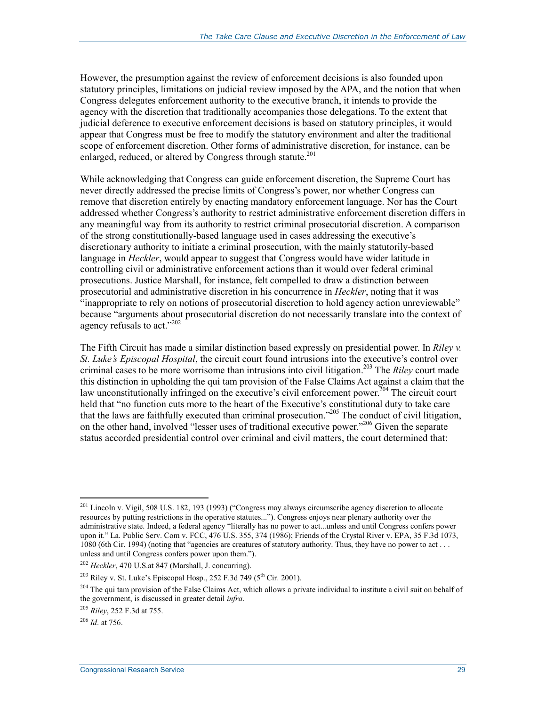However, the presumption against the review of enforcement decisions is also founded upon statutory principles, limitations on judicial review imposed by the APA, and the notion that when Congress delegates enforcement authority to the executive branch, it intends to provide the agency with the discretion that traditionally accompanies those delegations. To the extent that judicial deference to executive enforcement decisions is based on statutory principles, it would appear that Congress must be free to modify the statutory environment and alter the traditional scope of enforcement discretion. Other forms of administrative discretion, for instance, can be enlarged, reduced, or altered by Congress through statute.<sup>201</sup>

While acknowledging that Congress can guide enforcement discretion, the Supreme Court has never directly addressed the precise limits of Congress's power, nor whether Congress can remove that discretion entirely by enacting mandatory enforcement language. Nor has the Court addressed whether Congress's authority to restrict administrative enforcement discretion differs in any meaningful way from its authority to restrict criminal prosecutorial discretion. A comparison of the strong constitutionally-based language used in cases addressing the executive's discretionary authority to initiate a criminal prosecution, with the mainly statutorily-based language in *Heckler*, would appear to suggest that Congress would have wider latitude in controlling civil or administrative enforcement actions than it would over federal criminal prosecutions. Justice Marshall, for instance, felt compelled to draw a distinction between prosecutorial and administrative discretion in his concurrence in *Heckler*, noting that it was "inappropriate to rely on notions of prosecutorial discretion to hold agency action unreviewable" because "arguments about prosecutorial discretion do not necessarily translate into the context of agency refusals to act."<sup>202</sup>

The Fifth Circuit has made a similar distinction based expressly on presidential power. In *Riley v. St. Luke's Episcopal Hospital*, the circuit court found intrusions into the executive's control over criminal cases to be more worrisome than intrusions into civil litigation.203 The *Riley* court made this distinction in upholding the qui tam provision of the False Claims Act against a claim that the law unconstitutionally infringed on the executive's civil enforcement power.<sup> $204$ </sup> The circuit court held that "no function cuts more to the heart of the Executive's constitutional duty to take care that the laws are faithfully executed than criminal prosecution."205 The conduct of civil litigation, on the other hand, involved "lesser uses of traditional executive power."<sup>206</sup> Given the separate status accorded presidential control over criminal and civil matters, the court determined that:

 $^{201}$  Lincoln v. Vigil, 508 U.S. 182, 193 (1993) ("Congress may always circumscribe agency discretion to allocate resources by putting restrictions in the operative statutes..."). Congress enjoys near plenary authority over the administrative state. Indeed, a federal agency "literally has no power to act...unless and until Congress confers power upon it." La. Public Serv. Com v. FCC, 476 U.S. 355, 374 (1986); Friends of the Crystal River v. EPA, 35 F.3d 1073, 1080 (6th Cir. 1994) (noting that "agencies are creatures of statutory authority. Thus, they have no power to act . . . unless and until Congress confers power upon them.").

<sup>202</sup> *Heckler*, 470 U.S.at 847 (Marshall, J. concurring).

 $203$  Riley v. St. Luke's Episcopal Hosp., 252 F.3d 749 ( $5<sup>th</sup>$  Cir. 2001).

 $204$  The qui tam provision of the False Claims Act, which allows a private individual to institute a civil suit on behalf of the government, is discussed in greater detail *infra*.

<sup>205</sup> *Riley*, 252 F.3d at 755.

<sup>206</sup> *Id*. at 756.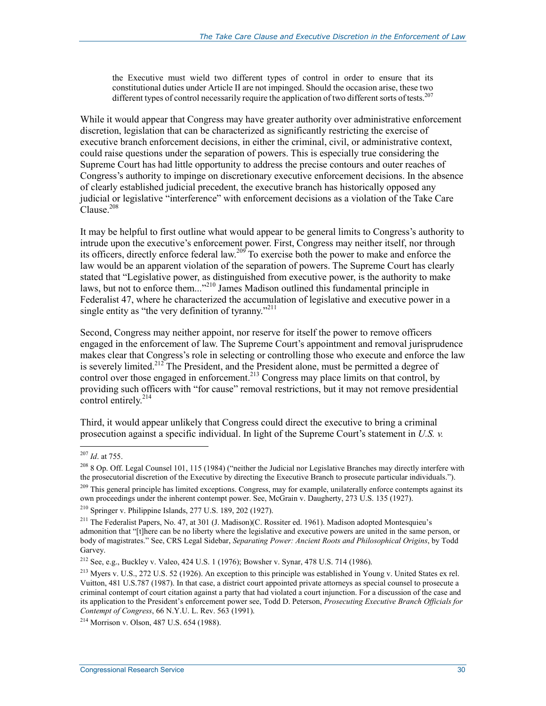the Executive must wield two different types of control in order to ensure that its constitutional duties under Article II are not impinged. Should the occasion arise, these two different types of control necessarily require the application of two different sorts of tests.<sup>207</sup>

While it would appear that Congress may have greater authority over administrative enforcement discretion, legislation that can be characterized as significantly restricting the exercise of executive branch enforcement decisions, in either the criminal, civil, or administrative context, could raise questions under the separation of powers. This is especially true considering the Supreme Court has had little opportunity to address the precise contours and outer reaches of Congress's authority to impinge on discretionary executive enforcement decisions. In the absence of clearly established judicial precedent, the executive branch has historically opposed any judicial or legislative "interference" with enforcement decisions as a violation of the Take Care  $\mathrm{C}$ lause.<sup>208</sup>

It may be helpful to first outline what would appear to be general limits to Congress's authority to intrude upon the executive's enforcement power. First, Congress may neither itself, nor through its officers, directly enforce federal law.209 To exercise both the power to make and enforce the law would be an apparent violation of the separation of powers. The Supreme Court has clearly stated that "Legislative power, as distinguished from executive power, is the authority to make laws, but not to enforce them..."<sup>210</sup> James Madison outlined this fundamental principle in Federalist 47, where he characterized the accumulation of legislative and executive power in a single entity as "the very definition of tyranny."<sup>211</sup>

Second, Congress may neither appoint, nor reserve for itself the power to remove officers engaged in the enforcement of law. The Supreme Court's appointment and removal jurisprudence makes clear that Congress's role in selecting or controlling those who execute and enforce the law is severely limited.<sup>212</sup> The President, and the President alone, must be permitted a degree of control over those engaged in enforcement.<sup>213</sup> Congress may place limits on that control, by providing such officers with "for cause" removal restrictions, but it may not remove presidential control entirely. $^{214}$ 

Third, it would appear unlikely that Congress could direct the executive to bring a criminal prosecution against a specific individual. In light of the Supreme Court's statement in *U.S. v.* 

<sup>207</sup> *Id*. at 755.

 $^{208}$  8 Op. Off. Legal Counsel 101, 115 (1984) ("neither the Judicial nor Legislative Branches may directly interfere with the prosecutorial discretion of the Executive by directing the Executive Branch to prosecute particular individuals.").

<sup>&</sup>lt;sup>209</sup> This general principle has limited exceptions. Congress, may for example, unilaterally enforce contempts against its own proceedings under the inherent contempt power. See, McGrain v. Daugherty, 273 U.S. 135 (1927).

<sup>210</sup> Springer v. Philippine Islands, 277 U.S. 189, 202 (1927).

<sup>&</sup>lt;sup>211</sup> The Federalist Papers, No. 47, at 301 (J. Madison)(C. Rossiter ed. 1961). Madison adopted Montesquieu's admonition that "[t]here can be no liberty where the legislative and executive powers are united in the same person, or body of magistrates." See, CRS Legal Sidebar, *Separating Power: Ancient Roots and Philosophical Origins*, by Todd Garvey.

<sup>&</sup>lt;sup>212</sup> See, e.g., Buckley v. Valeo, 424 U.S. 1 (1976); Bowsher v. Synar, 478 U.S. 714 (1986).

<sup>213</sup> Myers v. U.S., 272 U.S. 52 (1926). An exception to this principle was established in Young v. United States ex rel. Vuitton, 481 U.S.787 (1987). In that case, a district court appointed private attorneys as special counsel to prosecute a criminal contempt of court citation against a party that had violated a court injunction. For a discussion of the case and its application to the President's enforcement power see, Todd D. Peterson, *Prosecuting Executive Branch Officials for Contempt of Congress*, 66 N.Y.U. L. Rev. 563 (1991).

<sup>214</sup> Morrison v. Olson, 487 U.S. 654 (1988).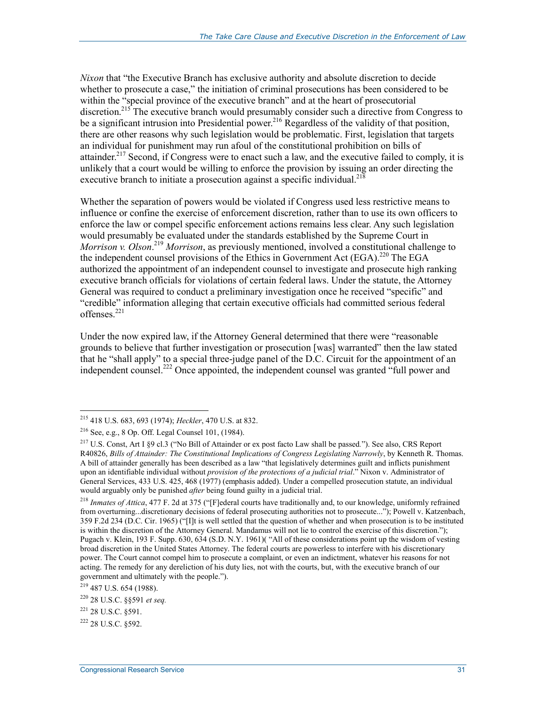*Nixon* that "the Executive Branch has exclusive authority and absolute discretion to decide whether to prosecute a case," the initiation of criminal prosecutions has been considered to be within the "special province of the executive branch" and at the heart of prosecutorial discretion.<sup>215</sup> The executive branch would presumably consider such a directive from Congress to be a significant intrusion into Presidential power.<sup>216</sup> Regardless of the validity of that position, there are other reasons why such legislation would be problematic. First, legislation that targets an individual for punishment may run afoul of the constitutional prohibition on bills of attainder.<sup>217</sup> Second, if Congress were to enact such a law, and the executive failed to comply, it is unlikely that a court would be willing to enforce the provision by issuing an order directing the executive branch to initiate a prosecution against a specific individual.<sup>218</sup>

Whether the separation of powers would be violated if Congress used less restrictive means to influence or confine the exercise of enforcement discretion, rather than to use its own officers to enforce the law or compel specific enforcement actions remains less clear. Any such legislation would presumably be evaluated under the standards established by the Supreme Court in *Morrison v. Olson*. <sup>219</sup> *Morrison*, as previously mentioned, involved a constitutional challenge to the independent counsel provisions of the Ethics in Government Act (EGA).<sup>220</sup> The EGA authorized the appointment of an independent counsel to investigate and prosecute high ranking executive branch officials for violations of certain federal laws. Under the statute, the Attorney General was required to conduct a preliminary investigation once he received "specific" and "credible" information alleging that certain executive officials had committed serious federal offenses.<sup>221</sup>

Under the now expired law, if the Attorney General determined that there were "reasonable grounds to believe that further investigation or prosecution [was] warranted" then the law stated that he "shall apply" to a special three-judge panel of the D.C. Circuit for the appointment of an independent counsel.<sup>222</sup> Once appointed, the independent counsel was granted "full power and

<sup>215 418</sup> U.S. 683, 693 (1974); *Heckler*, 470 U.S. at 832.

<sup>216</sup> See, e.g., 8 Op. Off. Legal Counsel 101, (1984).

<sup>217</sup> U.S. Const, Art I §9 cl.3 ("No Bill of Attainder or ex post facto Law shall be passed*.*"). See also, CRS Report R40826, *Bills of Attainder: The Constitutional Implications of Congress Legislating Narrowly*, by Kenneth R. Thomas. A bill of attainder generally has been described as a law "that legislatively determines guilt and inflicts punishment upon an identifiable individual without *provision of the protections of a judicial trial*." Nixon v. Administrator of General Services, 433 U.S. 425, 468 (1977) (emphasis added). Under a compelled prosecution statute, an individual would arguably only be punished *after* being found guilty in a judicial trial.

<sup>218</sup> *Inmates of Attica*, 477 F. 2d at 375 ("[F]ederal courts have traditionally and, to our knowledge, uniformly refrained from overturning...discretionary decisions of federal prosecuting authorities not to prosecute..."); Powell v. Katzenbach, 359 F.2d 234 (D.C. Cir. 1965) ("[I]t is well settled that the question of whether and when prosecution is to be instituted is within the discretion of the Attorney General. Mandamus will not lie to control the exercise of this discretion."); Pugach v. Klein, 193 F. Supp. 630, 634 (S.D. N.Y. 1961)( "All of these considerations point up the wisdom of vesting broad discretion in the United States Attorney. The federal courts are powerless to interfere with his discretionary power. The Court cannot compel him to prosecute a complaint, or even an indictment, whatever his reasons for not acting. The remedy for any dereliction of his duty lies, not with the courts, but, with the executive branch of our government and ultimately with the people.").

<sup>219 487</sup> U.S. 654 (1988).

<sup>220 28</sup> U.S.C. §§591 *et seq.*

<sup>221 28</sup> U.S.C. §591.

<sup>222 28</sup> U.S.C. §592.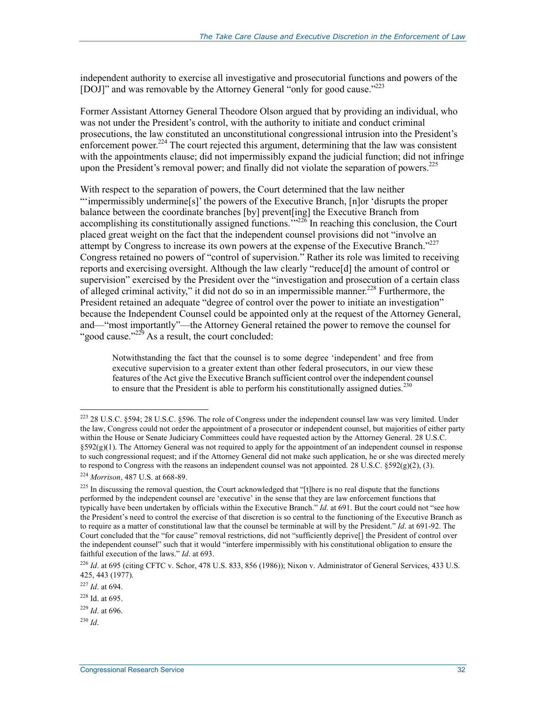independent authority to exercise all investigative and prosecutorial functions and powers of the [DOJ]" and was removable by the Attorney General "only for good cause."<sup>223</sup>

Former Assistant Attorney General Theodore Olson argued that by providing an individual, who was not under the President's control, with the authority to initiate and conduct criminal prosecutions, the law constituted an unconstitutional congressional intrusion into the President's enforcement power.<sup>224</sup> The court rejected this argument, determining that the law was consistent with the appointments clause; did not impermissibly expand the judicial function; did not infringe upon the President's removal power; and finally did not violate the separation of powers.<sup>225</sup>

With respect to the separation of powers, the Court determined that the law neither "'impermissibly undermine[s]' the powers of the Executive Branch, [n]or 'disrupts the proper balance between the coordinate branches [by] prevent[ing] the Executive Branch from accomplishing its constitutionally assigned functions."<sup>226</sup> In reaching this conclusion, the Court placed great weight on the fact that the independent counsel provisions did not "involve an attempt by Congress to increase its own powers at the expense of the Executive Branch."<sup>227</sup> Congress retained no powers of "control of supervision." Rather its role was limited to receiving reports and exercising oversight. Although the law clearly "reduce[d] the amount of control or supervision" exercised by the President over the "investigation and prosecution of a certain class of alleged criminal activity," it did not do so in an impermissible manner.<sup>228</sup> Furthermore, the President retained an adequate "degree of control over the power to initiate an investigation" because the Independent Counsel could be appointed only at the request of the Attorney General, and—"most importantly"—the Attorney General retained the power to remove the counsel for "good cause." $2^{29}$  As a result, the court concluded:

Notwithstanding the fact that the counsel is to some degree 'independent' and free from executive supervision to a greater extent than other federal prosecutors, in our view these features of the Act give the Executive Branch sufficient control over the independent counsel to ensure that the President is able to perform his constitutionally assigned duties.<sup>230</sup>

<u>.</u>

 $223$  28 U.S.C. §594; 28 U.S.C. §596. The role of Congress under the independent counsel law was very limited. Under the law, Congress could not order the appointment of a prosecutor or independent counsel, but majorities of either party within the House or Senate Judiciary Committees could have requested action by the Attorney General. 28 U.S.C. §592(g)(1). The Attorney General was not required to apply for the appointment of an independent counsel in response to such congressional request; and if the Attorney General did not make such application, he or she was directed merely to respond to Congress with the reasons an independent counsel was not appointed. 28 U.S.C.  $\S 592(g)(2)$ , (3).

<sup>224</sup> *Morrison*, 487 U.S. at 668-89.

 $^{225}$  In discussing the removal question, the Court acknowledged that "[t]here is no real dispute that the functions performed by the independent counsel are 'executive' in the sense that they are law enforcement functions that typically have been undertaken by officials within the Executive Branch." *Id*. at 691. But the court could not "see how the President's need to control the exercise of that discretion is so central to the functioning of the Executive Branch as to require as a matter of constitutional law that the counsel be terminable at will by the President." *Id*. at 691-92. The Court concluded that the "for cause" removal restrictions, did not "sufficiently deprive[] the President of control over the independent counsel" such that it would "interfere impermissibly with his constitutional obligation to ensure the faithful execution of the laws." *Id*. at 693.

<sup>226</sup> *Id*. at 695 (citing CFTC v. Schor, 478 U.S. 833, 856 (1986)); Nixon v. Administrator of General Services, 433 U.S. 425, 443 (1977).

<sup>227</sup> *Id*. at 694.

<sup>228</sup> Id. at 695.

<sup>229</sup> *Id*. at 696.

<sup>230</sup> *Id*.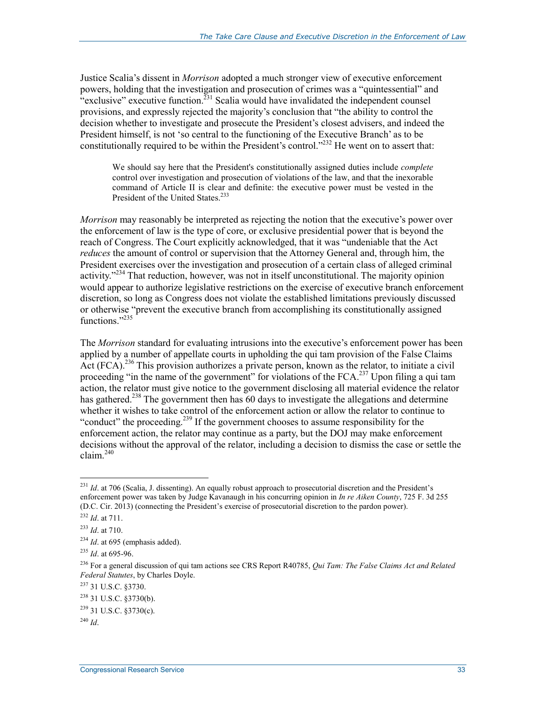Justice Scalia's dissent in *Morrison* adopted a much stronger view of executive enforcement powers, holding that the investigation and prosecution of crimes was a "quintessential" and "exclusive" executive function.<sup>231</sup> Scalia would have invalidated the independent counsel provisions, and expressly rejected the majority's conclusion that "the ability to control the decision whether to investigate and prosecute the President's closest advisers, and indeed the President himself, is not 'so central to the functioning of the Executive Branch' as to be constitutionally required to be within the President's control."<sup>232</sup> He went on to assert that:

We should say here that the President's constitutionally assigned duties include *complete* control over investigation and prosecution of violations of the law, and that the inexorable command of Article II is clear and definite: the executive power must be vested in the President of the United States.<sup>233</sup>

*Morrison* may reasonably be interpreted as rejecting the notion that the executive's power over the enforcement of law is the type of core, or exclusive presidential power that is beyond the reach of Congress. The Court explicitly acknowledged, that it was "undeniable that the Act *reduces* the amount of control or supervision that the Attorney General and, through him, the President exercises over the investigation and prosecution of a certain class of alleged criminal activity."<sup>234</sup> That reduction, however, was not in itself unconstitutional. The majority opinion would appear to authorize legislative restrictions on the exercise of executive branch enforcement discretion, so long as Congress does not violate the established limitations previously discussed or otherwise "prevent the executive branch from accomplishing its constitutionally assigned functions."<sup>235</sup>

The *Morrison* standard for evaluating intrusions into the executive's enforcement power has been applied by a number of appellate courts in upholding the qui tam provision of the False Claims Act (FCA).<sup>236</sup> This provision authorizes a private person, known as the relator, to initiate a civil proceeding "in the name of the government" for violations of the FCA.<sup>237</sup> Upon filing a qui tam action, the relator must give notice to the government disclosing all material evidence the relator has gathered.<sup>238</sup> The government then has 60 days to investigate the allegations and determine whether it wishes to take control of the enforcement action or allow the relator to continue to "conduct" the proceeding.<sup>239</sup> If the government chooses to assume responsibility for the enforcement action, the relator may continue as a party, but the DOJ may make enforcement decisions without the approval of the relator, including a decision to dismiss the case or settle the claim. $240$ 

<u>.</u>

<sup>&</sup>lt;sup>231</sup> *Id.* at 706 (Scalia, J. dissenting). An equally robust approach to prosecutorial discretion and the President's enforcement power was taken by Judge Kavanaugh in his concurring opinion in *In re Aiken County*, 725 F. 3d 255 (D.C. Cir. 2013) (connecting the President's exercise of prosecutorial discretion to the pardon power).

<sup>232</sup> *Id*. at 711.

<sup>233</sup> *Id*. at 710.

<sup>&</sup>lt;sup>234</sup> *Id.* at 695 (emphasis added).

<sup>235</sup> *Id*. at 695-96.

<sup>236</sup> For a general discussion of qui tam actions see CRS Report R40785, *Qui Tam: The False Claims Act and Related Federal Statutes*, by Charles Doyle.

<sup>237 31</sup> U.S.C. §3730.

<sup>238 31</sup> U.S.C. §3730(b).

 $239$  31 U.S.C.  $83730(c)$ .

<sup>240</sup> *Id*.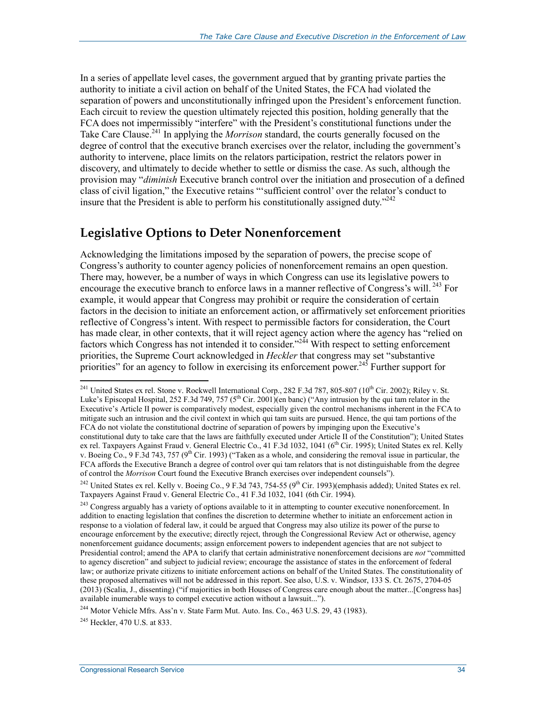In a series of appellate level cases, the government argued that by granting private parties the authority to initiate a civil action on behalf of the United States, the FCA had violated the separation of powers and unconstitutionally infringed upon the President's enforcement function. Each circuit to review the question ultimately rejected this position, holding generally that the FCA does not impermissibly "interfere" with the President's constitutional functions under the Take Care Clause.<sup>241</sup> In applying the *Morrison* standard, the courts generally focused on the degree of control that the executive branch exercises over the relator, including the government's authority to intervene, place limits on the relators participation, restrict the relators power in discovery, and ultimately to decide whether to settle or dismiss the case. As such, although the provision may "*diminish* Executive branch control over the initiation and prosecution of a defined class of civil ligation," the Executive retains "'sufficient control' over the relator's conduct to insure that the President is able to perform his constitutionally assigned duty.<sup> $242$ </sup>

#### **Legislative Options to Deter Nonenforcement**

Acknowledging the limitations imposed by the separation of powers, the precise scope of Congress's authority to counter agency policies of nonenforcement remains an open question. There may, however, be a number of ways in which Congress can use its legislative powers to encourage the executive branch to enforce laws in a manner reflective of Congress's will.<sup>243</sup> For example, it would appear that Congress may prohibit or require the consideration of certain factors in the decision to initiate an enforcement action, or affirmatively set enforcement priorities reflective of Congress's intent. With respect to permissible factors for consideration, the Court has made clear, in other contexts, that it will reject agency action where the agency has "relied on factors which Congress has not intended it to consider."<sup>244</sup> With respect to setting enforcement priorities, the Supreme Court acknowledged in *Heckler* that congress may set "substantive priorities" for an agency to follow in exercising its enforcement power.<sup>245</sup> Further support for

 $^{241}$  United States ex rel. Stone v. Rockwell International Corp., 282 F.3d 787, 805-807 (10<sup>th</sup> Cir. 2002); Riley v. St. Luke's Episcopal Hospital, 252 F.3d 749, 757 (5<sup>th</sup> Cir. 2001)(en banc) ("Any intrusion by the qui tam relator in the Executive's Article II power is comparatively modest, especially given the control mechanisms inherent in the FCA to mitigate such an intrusion and the civil context in which qui tam suits are pursued. Hence, the qui tam portions of the FCA do not violate the constitutional doctrine of separation of powers by impinging upon the Executive's constitutional duty to take care that the laws are faithfully executed under Article II of the Constitution"); United States ex rel. Taxpayers Against Fraud v. General Electric Co., 41 F.3d 1032, 1041 (6<sup>th</sup> Cir. 1995); United States ex rel. Kelly v. Boeing Co., 9 F.3d 743, 757 (9<sup>th</sup> Cir. 1993) ("Taken as a whole, and considering the removal issue in particular, the FCA affords the Executive Branch a degree of control over qui tam relators that is not distinguishable from the degree of control the *Morrison* Court found the Executive Branch exercises over independent counsels").

<sup>&</sup>lt;sup>242</sup> United States ex rel. Kelly v. Boeing Co., 9 F.3d 743, 754-55 (9<sup>th</sup> Cir. 1993)(emphasis added); United States ex rel. Taxpayers Against Fraud v. General Electric Co., 41 F.3d 1032, 1041 (6th Cir. 1994).

<sup>&</sup>lt;sup>243</sup> Congress arguably has a variety of options available to it in attempting to counter executive nonenforcement. In addition to enacting legislation that confines the discretion to determine whether to initiate an enforcement action in response to a violation of federal law, it could be argued that Congress may also utilize its power of the purse to encourage enforcement by the executive; directly reject, through the Congressional Review Act or otherwise, agency nonenforcement guidance documents; assign enforcement powers to independent agencies that are not subject to Presidential control; amend the APA to clarify that certain administrative nonenforcement decisions are *not* "committed to agency discretion" and subject to judicial review; encourage the assistance of states in the enforcement of federal law; or authorize private citizens to initiate enforcement actions on behalf of the United States. The constitutionality of these proposed alternatives will not be addressed in this report. See also, U.S. v. Windsor, 133 S. Ct. 2675, 2704-05 (2013) (Scalia, J., dissenting) ("if majorities in both Houses of Congress care enough about the matter...[Congress has] available inumerable ways to compel executive action without a lawsuit...").

 $^{244}$  Motor Vehicle Mfrs. Ass'n v. State Farm Mut. Auto. Ins. Co., 463 U.S. 29, 43 (1983).

<sup>245</sup> Heckler, 470 U.S. at 833.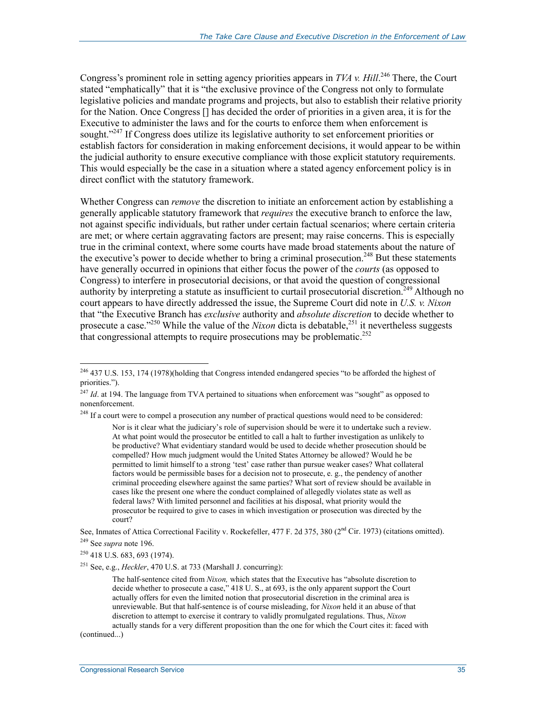Congress's prominent role in setting agency priorities appears in *TVA v. Hill*.<sup>246</sup> There, the Court stated "emphatically" that it is "the exclusive province of the Congress not only to formulate legislative policies and mandate programs and projects, but also to establish their relative priority for the Nation. Once Congress [] has decided the order of priorities in a given area, it is for the Executive to administer the laws and for the courts to enforce them when enforcement is sought."<sup>247</sup> If Congress does utilize its legislative authority to set enforcement priorities or establish factors for consideration in making enforcement decisions, it would appear to be within the judicial authority to ensure executive compliance with those explicit statutory requirements. This would especially be the case in a situation where a stated agency enforcement policy is in direct conflict with the statutory framework.

Whether Congress can *remove* the discretion to initiate an enforcement action by establishing a generally applicable statutory framework that *requires* the executive branch to enforce the law, not against specific individuals, but rather under certain factual scenarios; where certain criteria are met; or where certain aggravating factors are present; may raise concerns. This is especially true in the criminal context, where some courts have made broad statements about the nature of the executive's power to decide whether to bring a criminal prosecution.<sup>248</sup> But these statements have generally occurred in opinions that either focus the power of the *courts* (as opposed to Congress) to interfere in prosecutorial decisions, or that avoid the question of congressional authority by interpreting a statute as insufficient to curtail prosecutorial discretion.<sup>249</sup> Although no court appears to have directly addressed the issue, the Supreme Court did note in *U.S. v. Nixon* that "the Executive Branch has *exclusive* authority and *absolute discretion* to decide whether to prosecute a case.<sup>250</sup> While the value of the *Nixon* dicta is debatable,<sup>251</sup> it nevertheless suggests that congressional attempts to require prosecutions may be problematic.<sup>252</sup>

<sup>&</sup>lt;sup>246</sup> 437 U.S. 153, 174 (1978)(holding that Congress intended endangered species "to be afforded the highest of priorities.").

 $^{247}$  *Id.* at 194. The language from TVA pertained to situations when enforcement was "sought" as opposed to nonenforcement.

<sup>&</sup>lt;sup>248</sup> If a court were to compel a prosecution any number of practical questions would need to be considered:

Nor is it clear what the judiciary's role of supervision should be were it to undertake such a review. At what point would the prosecutor be entitled to call a halt to further investigation as unlikely to be productive? What evidentiary standard would be used to decide whether prosecution should be compelled? How much judgment would the United States Attorney be allowed? Would he be permitted to limit himself to a strong 'test' case rather than pursue weaker cases? What collateral factors would be permissible bases for a decision not to prosecute, e. g., the pendency of another criminal proceeding elsewhere against the same parties? What sort of review should be available in cases like the present one where the conduct complained of allegedly violates state as well as federal laws? With limited personnel and facilities at his disposal, what priority would the prosecutor be required to give to cases in which investigation or prosecution was directed by the court?

See, Inmates of Attica Correctional Facility v. Rockefeller, 477 F. 2d 375, 380 (2<sup>nd</sup> Cir. 1973) (citations omitted). 249 See *supra* note 196.

<sup>250 418</sup> U.S. 683, 693 (1974).

<sup>251</sup> See, e.g., *Heckler*, 470 U.S. at 733 (Marshall J. concurring):

The half-sentence cited from *Nixon,* which states that the Executive has "absolute discretion to decide whether to prosecute a case," 418 U. S., at 693, is the only apparent support the Court actually offers for even the limited notion that prosecutorial discretion in the criminal area is unreviewable. But that half-sentence is of course misleading, for *Nixon* held it an abuse of that discretion to attempt to exercise it contrary to validly promulgated regulations. Thus, *Nixon*

actually stands for a very different proposition than the one for which the Court cites it: faced with (continued...)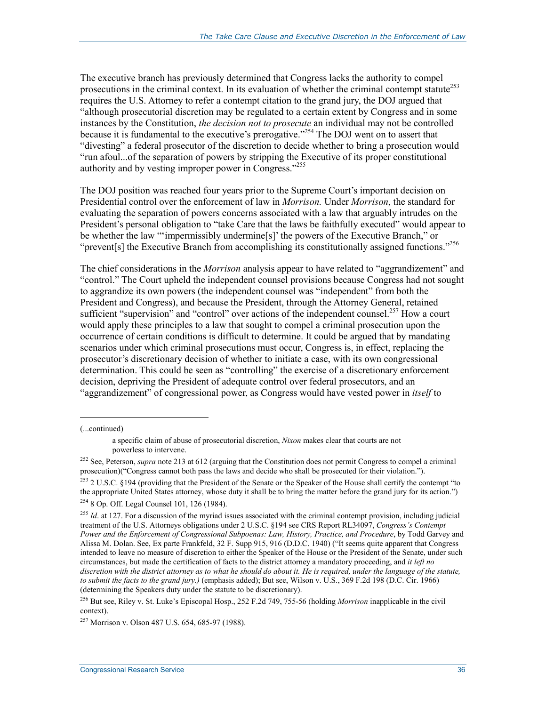The executive branch has previously determined that Congress lacks the authority to compel prosecutions in the criminal context. In its evaluation of whether the criminal contempt statute<sup>253</sup> requires the U.S. Attorney to refer a contempt citation to the grand jury, the DOJ argued that "although prosecutorial discretion may be regulated to a certain extent by Congress and in some instances by the Constitution, *the decision not to prosecute* an individual may not be controlled because it is fundamental to the executive's prerogative."254 The DOJ went on to assert that "divesting" a federal prosecutor of the discretion to decide whether to bring a prosecution would "run afoul...of the separation of powers by stripping the Executive of its proper constitutional authority and by vesting improper power in Congress."255

The DOJ position was reached four years prior to the Supreme Court's important decision on Presidential control over the enforcement of law in *Morrison.* Under *Morrison*, the standard for evaluating the separation of powers concerns associated with a law that arguably intrudes on the President's personal obligation to "take Care that the laws be faithfully executed" would appear to be whether the law "'impermissibly undermine[s]' the powers of the Executive Branch," or "prevent[s] the Executive Branch from accomplishing its constitutionally assigned functions."<sup>256</sup>

The chief considerations in the *Morrison* analysis appear to have related to "aggrandizement" and "control." The Court upheld the independent counsel provisions because Congress had not sought to aggrandize its own powers (the independent counsel was "independent" from both the President and Congress), and because the President, through the Attorney General, retained sufficient "supervision" and "control" over actions of the independent counsel.<sup>257</sup> How a court would apply these principles to a law that sought to compel a criminal prosecution upon the occurrence of certain conditions is difficult to determine. It could be argued that by mandating scenarios under which criminal prosecutions must occur, Congress is, in effect, replacing the prosecutor's discretionary decision of whether to initiate a case, with its own congressional determination. This could be seen as "controlling" the exercise of a discretionary enforcement decision, depriving the President of adequate control over federal prosecutors, and an "aggrandizement" of congressional power, as Congress would have vested power in *itself* to

<sup>(...</sup>continued)

a specific claim of abuse of prosecutorial discretion, *Nixon* makes clear that courts are not powerless to intervene.

<sup>&</sup>lt;sup>252</sup> See, Peterson, *supra* note 213 at 612 (arguing that the Constitution does not permit Congress to compel a criminal prosecution)("Congress cannot both pass the laws and decide who shall be prosecuted for their violation.").

<sup>&</sup>lt;sup>253</sup> 2 U.S.C. §194 (providing that the President of the Senate or the Speaker of the House shall certify the contempt "to the appropriate United States attorney, whose duty it shall be to bring the matter before the grand jury for its action.") 254 8 Op. Off. Legal Counsel 101, 126 (1984).

<sup>&</sup>lt;sup>255</sup> *Id.* at 127. For a discussion of the myriad issues associated with the criminal contempt provision, including judicial treatment of the U.S. Attorneys obligations under 2 U.S.C. §194 see CRS Report RL34097, *Congress's Contempt Power and the Enforcement of Congressional Subpoenas: Law, History, Practice, and Procedure*, by Todd Garvey and Alissa M. Dolan. See, Ex parte Frankfeld, 32 F. Supp 915, 916 (D.D.C. 1940) ("It seems quite apparent that Congress intended to leave no measure of discretion to either the Speaker of the House or the President of the Senate, under such circumstances, but made the certification of facts to the district attorney a mandatory proceeding, and *it left no discretion with the district attorney as to what he should do about it. He is required, under the language of the statute, to submit the facts to the grand jury.)* (emphasis added); But see, Wilson v. U.S., 369 F.2d 198 (D.C. Cir. 1966) (determining the Speakers duty under the statute to be discretionary).

<sup>256</sup> But see, Riley v. St. Luke's Episcopal Hosp., 252 F.2d 749, 755-56 (holding *Morrison* inapplicable in the civil context).

<sup>257</sup> Morrison v. Olson 487 U.S. 654, 685-97 (1988).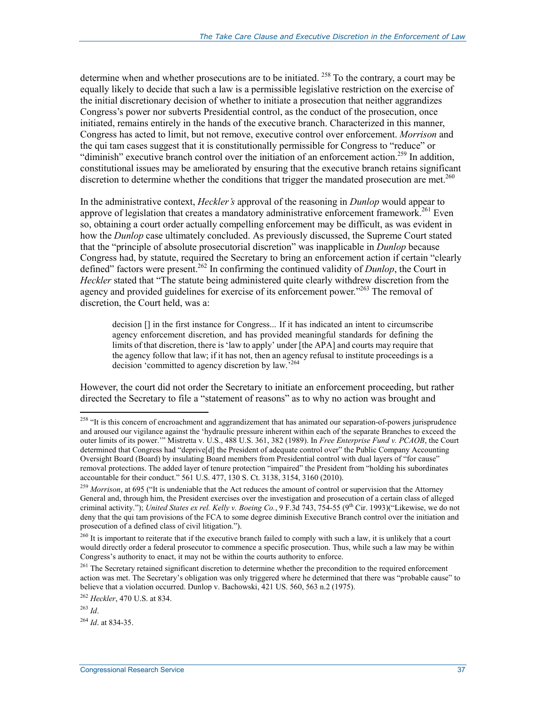determine when and whether prosecutions are to be initiated. 258 To the contrary, a court may be equally likely to decide that such a law is a permissible legislative restriction on the exercise of the initial discretionary decision of whether to initiate a prosecution that neither aggrandizes Congress's power nor subverts Presidential control, as the conduct of the prosecution, once initiated, remains entirely in the hands of the executive branch. Characterized in this manner, Congress has acted to limit, but not remove, executive control over enforcement. *Morrison* and the qui tam cases suggest that it is constitutionally permissible for Congress to "reduce" or "diminish" executive branch control over the initiation of an enforcement action.<sup>259</sup> In addition, constitutional issues may be ameliorated by ensuring that the executive branch retains significant discretion to determine whether the conditions that trigger the mandated prosecution are met.<sup>260</sup>

In the administrative context, *Heckler's* approval of the reasoning in *Dunlop* would appear to approve of legislation that creates a mandatory administrative enforcement framework.<sup>261</sup> Even so, obtaining a court order actually compelling enforcement may be difficult, as was evident in how the *Dunlop* case ultimately concluded. As previously discussed, the Supreme Court stated that the "principle of absolute prosecutorial discretion" was inapplicable in *Dunlop* because Congress had, by statute, required the Secretary to bring an enforcement action if certain "clearly defined" factors were present.262 In confirming the continued validity of *Dunlop*, the Court in *Heckler* stated that "The statute being administered quite clearly withdrew discretion from the agency and provided guidelines for exercise of its enforcement power."<sup>263</sup> The removal of discretion, the Court held, was a:

decision [] in the first instance for Congress... If it has indicated an intent to circumscribe agency enforcement discretion, and has provided meaningful standards for defining the limits of that discretion, there is 'law to apply' under [the APA] and courts may require that the agency follow that law; if it has not, then an agency refusal to institute proceedings is a decision 'committed to agency discretion by law.'264

However, the court did not order the Secretary to initiate an enforcement proceeding, but rather directed the Secretary to file a "statement of reasons" as to why no action was brought and

<u>.</u>

<sup>&</sup>lt;sup>258</sup> "It is this concern of encroachment and aggrandizement that has animated our separation-of-powers jurisprudence and aroused our vigilance against the 'hydraulic pressure inherent within each of the separate Branches to exceed the outer limits of its power.'" Mistretta v. U.S., 488 U.S. 361, 382 (1989). In *Free Enterprise Fund v. PCAOB*, the Court determined that Congress had "deprive[d] the President of adequate control over" the Public Company Accounting Oversight Board (Board) by insulating Board members from Presidential control with dual layers of "for cause" removal protections. The added layer of tenure protection "impaired" the President from "holding his subordinates accountable for their conduct." 561 U.S. 477, 130 S. Ct. 3138, 3154, 3160 (2010).

<sup>&</sup>lt;sup>259</sup> *Morrison*, at 695 ("It is undeniable that the Act reduces the amount of control or supervision that the Attorney General and, through him, the President exercises over the investigation and prosecution of a certain class of alleged criminal activity."); *United States ex rel. Kelly v. Boeing Co.*, 9 F.3d 743, 754-55 (9<sup>th</sup> Cir. 1993)("Likewise, we do not deny that the qui tam provisions of the FCA to some degree diminish Executive Branch control over the initiation and prosecution of a defined class of civil litigation.").

<sup>&</sup>lt;sup>260</sup> It is important to reiterate that if the executive branch failed to comply with such a law, it is unlikely that a court would directly order a federal prosecutor to commence a specific prosecution. Thus, while such a law may be within Congress's authority to enact, it may not be within the courts authority to enforce.

<sup>&</sup>lt;sup>261</sup> The Secretary retained significant discretion to determine whether the precondition to the required enforcement action was met. The Secretary's obligation was only triggered where he determined that there was "probable cause" to believe that a violation occurred. Dunlop v. Bachowski, 421 US. 560, 563 n.2 (1975).

<sup>262</sup> *Heckler*, 470 U.S. at 834.

<sup>263</sup> *Id*.

<sup>264</sup> *Id*. at 834-35.